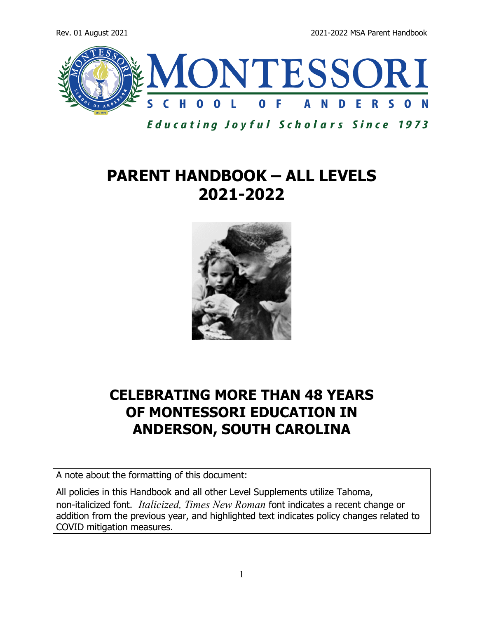Rev. 01 August 2021 2021 2021-2022 MSA Parent Handbook



**Educating Joyful Scholars Since 1973** 

## **PARENT HANDBOOK – ALL LEVELS 2021-2022**



## **CELEBRATING MORE THAN 48 YEARS OF MONTESSORI EDUCATION IN ANDERSON, SOUTH CAROLINA**

A note about the formatting of this document:

All policies in this Handbook and all other Level Supplements utilize Tahoma, non-italicized font. *Italicized, Times New Roman* font indicates a recent change or addition from the previous year, and highlighted text indicates policy changes related to COVID mitigation measures.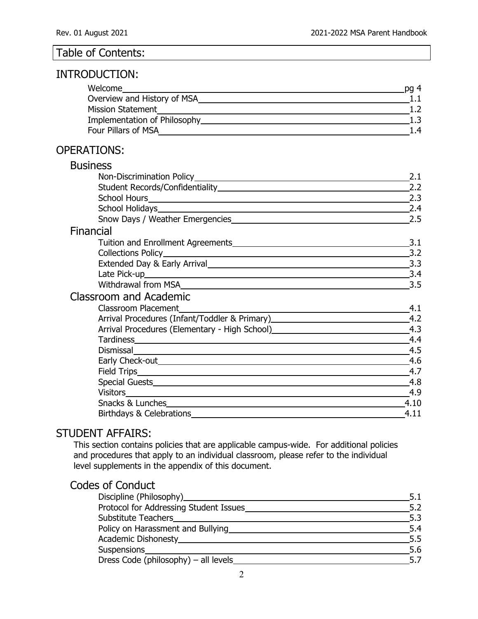#### Table of Contents:

## INTRODUCTION:

| Welcome                      | na <sub>4</sub> |
|------------------------------|-----------------|
| Overview and History of MSA  |                 |
| <b>Mission Statement</b>     |                 |
| Implementation of Philosophy |                 |
| Four Pillars of MSA          | 14              |

#### OPERATIONS:

| <b>Business</b>                                                                  |      |
|----------------------------------------------------------------------------------|------|
|                                                                                  | 2.1  |
|                                                                                  | 2.2  |
|                                                                                  | 2.3  |
| School Holidays <b>Example 2018</b> School Holidays                              | 2.4  |
| Snow Days / Weather Emergencies                                                  | 2.5  |
| Financial                                                                        |      |
|                                                                                  | 3.1  |
|                                                                                  | 3.2  |
|                                                                                  | 3.3  |
|                                                                                  | 3.4  |
|                                                                                  | 3.5  |
| <b>Classroom and Academic</b>                                                    |      |
| <b>Classroom Placement</b>                                                       | 4.1  |
| Arrival Procedures (Infant/Toddler & Primary)___________________________________ | 4.2  |
| Arrival Procedures (Elementary - High School) __________________________________ | 4.3  |
|                                                                                  | 4.4  |
|                                                                                  | 4.5  |
|                                                                                  | 4.6  |
|                                                                                  | 4.7  |
|                                                                                  | 4.8  |
|                                                                                  | 4.9  |
|                                                                                  | 4.10 |
|                                                                                  | 4.11 |

#### STUDENT AFFAIRS:

This section contains policies that are applicable campus-wide. For additional policies and procedures that apply to an individual classroom, please refer to the individual level supplements in the appendix of this document.

## Codes of Conduct

| Discipline (Philosophy)____________    | 5.1 |
|----------------------------------------|-----|
| Protocol for Addressing Student Issues | 5.2 |
| Substitute Teachers_                   | 5.3 |
| Policy on Harassment and Bullying      | 5.4 |
| Academic Dishonesty___________         | 5.5 |
| Suspensions_______________             | 5.6 |
| Dress Code (philosophy) - all levels   | 5.7 |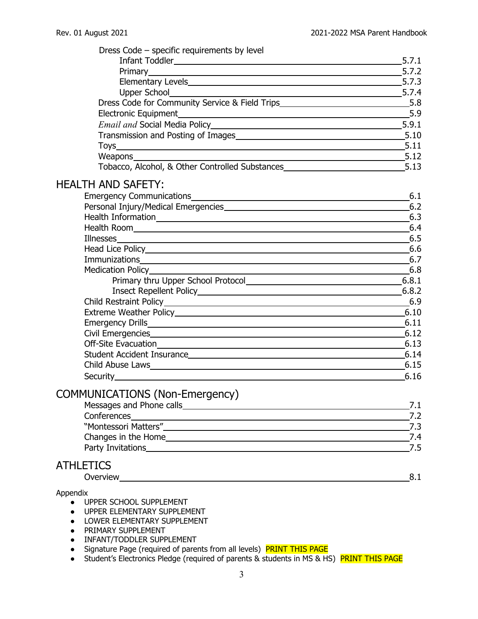| Dress Code – specific requirements by level                                                                                                                                                                                    |        |
|--------------------------------------------------------------------------------------------------------------------------------------------------------------------------------------------------------------------------------|--------|
|                                                                                                                                                                                                                                | .5.7.1 |
|                                                                                                                                                                                                                                | 5.7.2  |
|                                                                                                                                                                                                                                |        |
| Upper School 5.7.4                                                                                                                                                                                                             |        |
| Dress Code for Community Service & Field Trips__________________________________5.8                                                                                                                                            |        |
|                                                                                                                                                                                                                                | 5.9    |
|                                                                                                                                                                                                                                |        |
|                                                                                                                                                                                                                                |        |
|                                                                                                                                                                                                                                | 5.11   |
|                                                                                                                                                                                                                                |        |
| Weapons Sale by Tobacco, Alcohol, & Other Controlled Substances Substances Substances Substances Substances Substances Substances Substances Substances Substances Substances Substances Substances Substances Substances Subs |        |
| <b>HEALTH AND SAFETY:</b>                                                                                                                                                                                                      |        |
|                                                                                                                                                                                                                                | 6.1    |
|                                                                                                                                                                                                                                |        |
|                                                                                                                                                                                                                                |        |
|                                                                                                                                                                                                                                |        |
|                                                                                                                                                                                                                                |        |
|                                                                                                                                                                                                                                |        |
|                                                                                                                                                                                                                                |        |
|                                                                                                                                                                                                                                |        |
|                                                                                                                                                                                                                                |        |
|                                                                                                                                                                                                                                |        |
|                                                                                                                                                                                                                                | 6.9    |
|                                                                                                                                                                                                                                |        |
| Emergency Drills 6.11                                                                                                                                                                                                          |        |
| Civil Emergencies 6.12                                                                                                                                                                                                         |        |
|                                                                                                                                                                                                                                |        |
| Student Accident Insurance 2014                                                                                                                                                                                                |        |
| Child Abuse Laws 6.15                                                                                                                                                                                                          |        |
| Security 6.16                                                                                                                                                                                                                  |        |
| COMMUNICATIONS (Non-Emergency)                                                                                                                                                                                                 |        |
|                                                                                                                                                                                                                                | 7.1    |
|                                                                                                                                                                                                                                | 7.2    |
|                                                                                                                                                                                                                                | $-7.3$ |
|                                                                                                                                                                                                                                | 7.4    |
| Party Invitations <b>Party Invitations</b>                                                                                                                                                                                     | .7.5   |
| <b>ATHLETICS</b>                                                                                                                                                                                                               |        |
| Overview                                                                                                                                                                                                                       | 8.1    |

Appendix

- **UPPER SCHOOL SUPPLEMENT**
- UPPER ELEMENTARY SUPPLEMENT
- **LOWER ELEMENTARY SUPPLEMENT**
- PRIMARY SUPPLEMENT
- INFANT/TODDLER SUPPLEMENT
- Signature Page (required of parents from all levels) **PRINT THIS PAGE**
- Student's Electronics Pledge (required of parents & students in MS & HS) PRINT THIS PAGE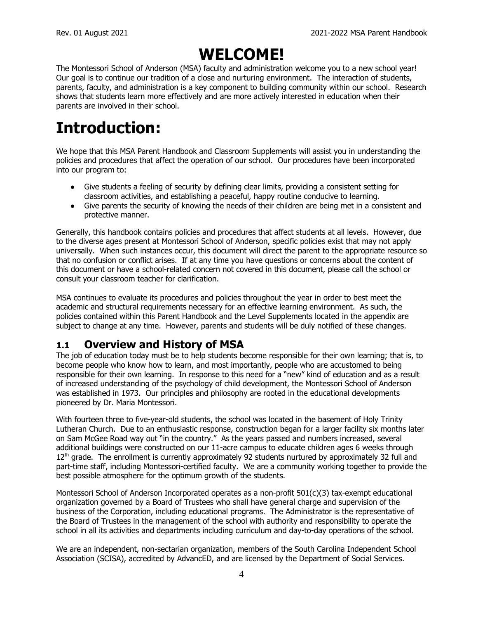## **WELCOME!**

The Montessori School of Anderson (MSA) faculty and administration welcome you to a new school year! Our goal is to continue our tradition of a close and nurturing environment. The interaction of students, parents, faculty, and administration is a key component to building community within our school. Research shows that students learn more effectively and are more actively interested in education when their parents are involved in their school.

## **Introduction:**

We hope that this MSA Parent Handbook and Classroom Supplements will assist you in understanding the policies and procedures that affect the operation of our school. Our procedures have been incorporated into our program to:

- Give students a feeling of security by defining clear limits, providing a consistent setting for classroom activities, and establishing a peaceful, happy routine conducive to learning.
- Give parents the security of knowing the needs of their children are being met in a consistent and protective manner.

Generally, this handbook contains policies and procedures that affect students at all levels. However, due to the diverse ages present at Montessori School of Anderson, specific policies exist that may not apply universally. When such instances occur, this document will direct the parent to the appropriate resource so that no confusion or conflict arises. If at any time you have questions or concerns about the content of this document or have a school-related concern not covered in this document, please call the school or consult your classroom teacher for clarification.

MSA continues to evaluate its procedures and policies throughout the year in order to best meet the academic and structural requirements necessary for an effective learning environment. As such, the policies contained within this Parent Handbook and the Level Supplements located in the appendix are subject to change at any time. However, parents and students will be duly notified of these changes.

## **1.1 Overview and History of MSA**

The job of education today must be to help students become responsible for their own learning; that is, to become people who know how to learn, and most importantly, people who are accustomed to being responsible for their own learning. In response to this need for a "new" kind of education and as a result of increased understanding of the psychology of child development, the Montessori School of Anderson was established in 1973. Our principles and philosophy are rooted in the educational developments pioneered by Dr. Maria Montessori.

With fourteen three to five-year-old students, the school was located in the basement of Holy Trinity Lutheran Church. Due to an enthusiastic response, construction began for a larger facility six months later on Sam McGee Road way out "in the country." As the years passed and numbers increased, several additional buildings were constructed on our 11-acre campus to educate children ages 6 weeks through  $12<sup>th</sup>$  grade. The enrollment is currently approximately 92 students nurtured by approximately 32 full and part-time staff, including Montessori-certified faculty. We are a community working together to provide the best possible atmosphere for the optimum growth of the students.

Montessori School of Anderson Incorporated operates as a non-profit  $501(c)(3)$  tax-exempt educational organization governed by a Board of Trustees who shall have general charge and supervision of the business of the Corporation, including educational programs. The Administrator is the representative of the Board of Trustees in the management of the school with authority and responsibility to operate the school in all its activities and departments including curriculum and day-to-day operations of the school.

We are an independent, non-sectarian organization, members of the South Carolina Independent School Association (SCISA), accredited by AdvancED, and are licensed by the Department of Social Services.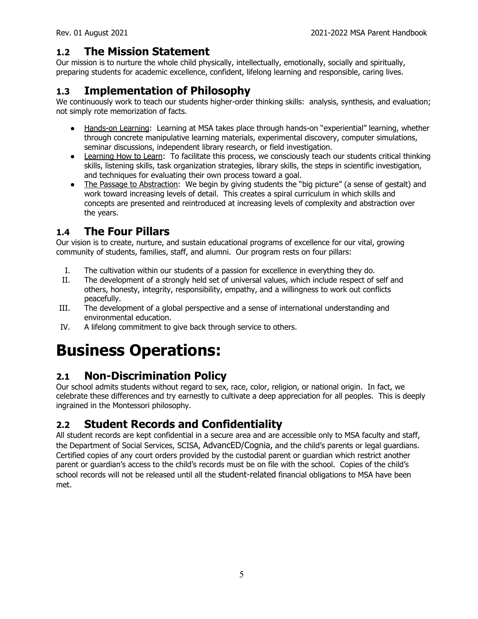#### **1.2 The Mission Statement**

Our mission is to nurture the whole child physically, intellectually, emotionally, socially and spiritually, preparing students for academic excellence, confident, lifelong learning and responsible, caring lives.

#### **1.3 Implementation of Philosophy**

We continuously work to teach our students higher-order thinking skills: analysis, synthesis, and evaluation; not simply rote memorization of facts.

- Hands-on Learning: Learning at MSA takes place through hands-on "experiential" learning, whether through concrete manipulative learning materials, experimental discovery, computer simulations, seminar discussions, independent library research, or field investigation.
- Learning How to Learn: To facilitate this process, we consciously teach our students critical thinking skills, listening skills, task organization strategies, library skills, the steps in scientific investigation, and techniques for evaluating their own process toward a goal.
- The Passage to Abstraction: We begin by giving students the "big picture" (a sense of gestalt) and work toward increasing levels of detail. This creates a spiral curriculum in which skills and concepts are presented and reintroduced at increasing levels of complexity and abstraction over the years.

#### **1.4 The Four Pillars**

Our vision is to create, nurture, and sustain educational programs of excellence for our vital, growing community of students, families, staff, and alumni. Our program rests on four pillars:

- I. The cultivation within our students of a passion for excellence in everything they do.
- II. The development of a strongly held set of universal values, which include respect of self and others, honesty, integrity, responsibility, empathy, and a willingness to work out conflicts peacefully.
- III. The development of a global perspective and a sense of international understanding and environmental education.
- IV. A lifelong commitment to give back through service to others.

## **Business Operations:**

## **2.1 Non-Discrimination Policy**

Our school admits students without regard to sex, race, color, religion, or national origin. In fact, we celebrate these differences and try earnestly to cultivate a deep appreciation for all peoples. This is deeply ingrained in the Montessori philosophy.

## **2.2 Student Records and Confidentiality**

All student records are kept confidential in a secure area and are accessible only to MSA faculty and staff, the Department of Social Services, SCISA, AdvancED/Cognia, and the child's parents or legal guardians. Certified copies of any court orders provided by the custodial parent or guardian which restrict another parent or guardian's access to the child's records must be on file with the school. Copies of the child's school records will not be released until all the student-related financial obligations to MSA have been met.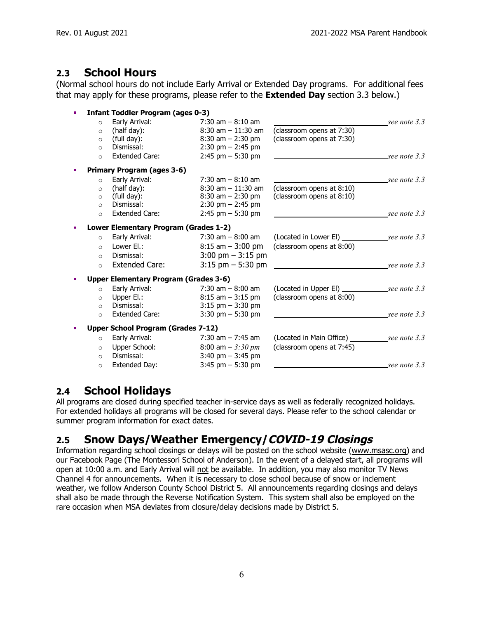#### **2.3 School Hours**

(Normal school hours do not include Early Arrival or Extended Day programs. For additional fees that may apply for these programs, please refer to the **Extended Day** section 3.3 below.)

| <b>Infant Toddler Program (ages 0-3)</b>     |                                     |                           |                         |
|----------------------------------------------|-------------------------------------|---------------------------|-------------------------|
| Early Arrival:<br>$\circ$                    | $7:30$ am $-8:10$ am                |                           | $\text{\_}see note 3.3$ |
| (half day):<br>$\circ$                       | $8:30$ am $-11:30$ am               | (classroom opens at 7:30) |                         |
| (full day):<br>$\circ$                       | $8:30$ am $- 2:30$ pm               | (classroom opens at 7:30) |                         |
| Dismissal:<br>$\circ$                        | $2:30$ pm $- 2:45$ pm               |                           |                         |
| <b>Extended Care:</b><br>$\circ$             | $2:45$ pm $-5:30$ pm                |                           | $\text{\_}see note 3.3$ |
| <b>Primary Program (ages 3-6)</b>            |                                     |                           |                         |
| Early Arrival:<br>$\circ$                    | $7:30$ am $-8:10$ am                |                           | $\text{\_}see note 3.3$ |
| (half day):<br>$\circ$                       | $8:30$ am $-11:30$ am               | (classroom opens at 8:10) |                         |
| (full day):<br>$\circ$                       | $8:30$ am $- 2:30$ pm               | (classroom opens at 8:10) |                         |
| Dismissal:<br>$\circ$                        | $2:30$ pm $- 2:45$ pm               |                           |                         |
| Extended Care:<br>$\circ$                    | $2:45$ pm $-5:30$ pm                |                           | $\text{\_}see note 3.3$ |
| Lower Elementary Program (Grades 1-2)        |                                     |                           |                         |
| Early Arrival:<br>$\circ$                    | $7:30$ am $-8:00$ am                |                           |                         |
| Lower El.:<br>$\Omega$                       | $8:15$ am $-3:00$ pm                | (classroom opens at 8:00) |                         |
| Dismissal:<br>$\circ$                        | $3:00 \text{ pm} - 3:15 \text{ pm}$ |                           |                         |
| <b>Extended Care:</b><br>$\circ$             | $3:15$ pm $-5:30$ pm                |                           | see note 3.3            |
| <b>Upper Elementary Program (Grades 3-6)</b> |                                     |                           |                         |
| Early Arrival:<br>$\Omega$                   | 7:30 am $-8:00$ am                  |                           |                         |
| Upper El.:<br>$\circ$                        | $8:15$ am $-3:15$ pm                | (classroom opens at 8:00) |                         |
| Dismissal:<br>$\circ$                        | $3:15$ pm $-3:30$ pm                |                           |                         |
| <b>Extended Care:</b><br>$\circ$             | 3:30 pm $-$ 5:30 pm                 |                           | see note 3.3            |
| Upper School Program (Grades 7-12)           |                                     |                           |                         |
| Early Arrival:<br>$\circ$                    | $7:30$ am $-7:45$ am                |                           |                         |
| Upper School:<br>$\circ$                     | 8:00 am $-$ 3:30 pm                 | (classroom opens at 7:45) |                         |
| Dismissal:<br>$\circ$                        | 3:40 pm $-$ 3:45 pm                 |                           |                         |
| Extended Day:                                | $3:45$ pm $-5:30$ pm                |                           | $\_\$ {see note 3.3}    |
| $\circ$                                      |                                     |                           |                         |

#### **2.4 School Holidays**

All programs are closed during specified teacher in-service days as well as federally recognized holidays. For extended holidays all programs will be closed for several days. Please refer to the school calendar or summer program information for exact dates.

## **2.5 Snow Days/Weather Emergency/COVID-19 Closings**

Information regarding school closings or delays will be posted on the school website ([www.msasc.org\)](http://www.msasc.org) and our Facebook Page (The Montessori School of Anderson). In the event of a delayed start, all programs will open at 10:00 a.m. and Early Arrival will not be available. In addition, you may also monitor TV News Channel 4 for announcements. When it is necessary to close school because of snow or inclement weather, we follow Anderson County School District 5. All announcements regarding closings and delays shall also be made through the Reverse Notification System. This system shall also be employed on the rare occasion when MSA deviates from closure/delay decisions made by District 5.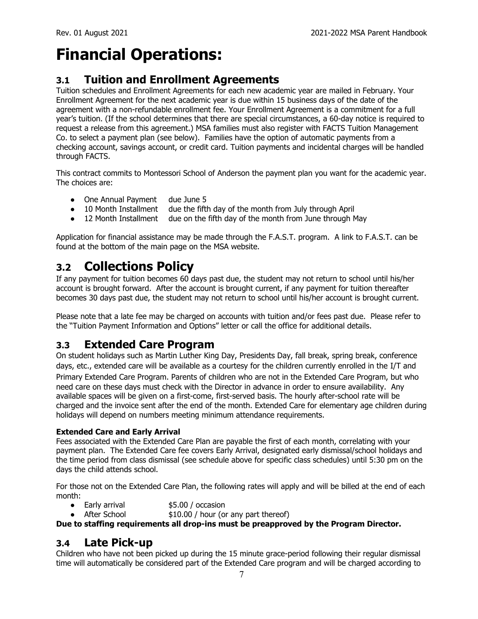## **Financial Operations:**

#### **3.1 Tuition and Enrollment Agreements**

Tuition schedules and Enrollment Agreements for each new academic year are mailed in February. Your Enrollment Agreement for the next academic year is due within 15 business days of the date of the agreement with a non-refundable enrollment fee. Your Enrollment Agreement is a commitment for a full year's tuition. (If the school determines that there are special circumstances, a 60-day notice is required to request a release from this agreement.) MSA families must also register with FACTS Tuition Management Co. to select a payment plan (see below). Families have the option of automatic payments from a checking account, savings account, or credit card. Tuition payments and incidental charges will be handled through FACTS.

This contract commits to Montessori School of Anderson the payment plan you want for the academic year. The choices are:

- One Annual Payment due June 5
- 10 Month Installment due the fifth day of the month from July through April
- 12 Month Installment due on the fifth day of the month from June through May

Application for financial assistance may be made through the F.A.S.T. program. A link to F.A.S.T. can be found at the bottom of the main page on the MSA website.

## **3.2 Collections Policy**

If any payment for tuition becomes 60 days past due, the student may not return to school until his/her account is brought forward. After the account is brought current, if any payment for tuition thereafter becomes 30 days past due, the student may not return to school until his/her account is brought current.

Please note that a late fee may be charged on accounts with tuition and/or fees past due. Please refer to the "Tuition Payment Information and Options" letter or call the office for additional details.

#### **3.3 Extended Care Program**

On student holidays such as Martin Luther King Day, Presidents Day, fall break, spring break, conference days, etc., extended care will be available as a courtesy for the children currently enrolled in the I/T and Primary Extended Care Program. Parents of children who are not in the Extended Care Program, but who need care on these days must check with the Director in advance in order to ensure availability. Any available spaces will be given on a first-come, first-served basis. The hourly after-school rate will be charged and the invoice sent after the end of the month. Extended Care for elementary age children during holidays will depend on numbers meeting minimum attendance requirements.

#### **Extended Care and Early Arrival**

Fees associated with the Extended Care Plan are payable the first of each month, correlating with your payment plan. The Extended Care fee covers Early Arrival, designated early dismissal/school holidays and the time period from class dismissal (see schedule above for specific class schedules) until 5:30 pm on the days the child attends school.

For those not on the Extended Care Plan, the following rates will apply and will be billed at the end of each month:

- Early arrival \$5.00 / occasion
- After School  $$10.00 / hour (or any part thereof)$

**Due to staffing requirements all drop-ins must be preapproved by the Program Director.**

#### **3.4 Late Pick-up**

Children who have not been picked up during the 15 minute grace-period following their regular dismissal time will automatically be considered part of the Extended Care program and will be charged according to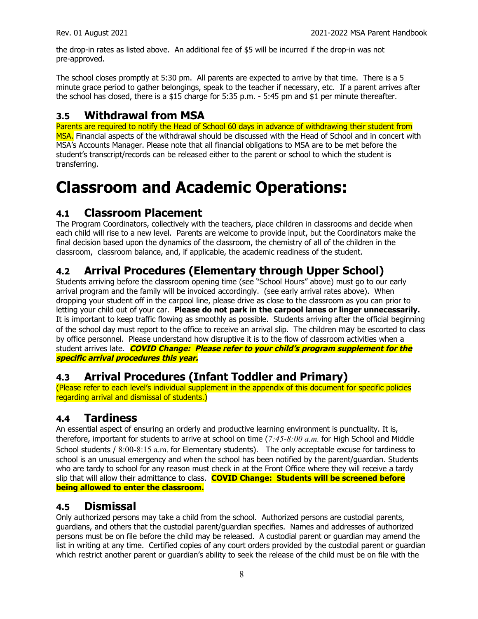the drop-in rates as listed above. An additional fee of \$5 will be incurred if the drop-in was not pre-approved.

The school closes promptly at 5:30 pm. All parents are expected to arrive by that time. There is a 5 minute grace period to gather belongings, speak to the teacher if necessary, etc. If a parent arrives after the school has closed, there is a \$15 charge for 5:35 p.m. - 5:45 pm and \$1 per minute thereafter.

#### **3.5 Withdrawal from MSA**

Parents are required to notify the Head of School 60 days in advance of withdrawing their student from MSA. Financial aspects of the withdrawal should be discussed with the Head of School and in concert with MSA's Accounts Manager. Please note that all financial obligations to MSA are to be met before the student's transcript/records can be released either to the parent or school to which the student is transferring.

## **Classroom and Academic Operations:**

#### **4.1 Classroom Placement**

The Program Coordinators, collectively with the teachers, place children in classrooms and decide when each child will rise to a new level. Parents are welcome to provide input, but the Coordinators make the final decision based upon the dynamics of the classroom, the chemistry of all of the children in the classroom, classroom balance, and, if applicable, the academic readiness of the student.

## **4.2 Arrival Procedures (Elementary through Upper School)**

Students arriving before the classroom opening time (see "School Hours" above) must go to our early arrival program and the family will be invoiced accordingly. (see early arrival rates above). When dropping your student off in the carpool line, please drive as close to the classroom as you can prior to letting your child out of your car. **Please do not park in the carpool lanes or linger unnecessarily.** It is important to keep traffic flowing as smoothly as possible. Students arriving after the official beginning of the school day must report to the office to receive an arrival slip. The children may be escorted to class by office personnel. Please understand how disruptive it is to the flow of classroom activities when a student arrives late. **COVID Change: Please refer to your child's program supplement for the specific arrival procedures this year.**

#### **4.3 Arrival Procedures (Infant Toddler and Primary)**

(Please refer to each level's individual supplement in the appendix of this document for specific policies regarding arrival and dismissal of students.)

#### **4.4 Tardiness**

An essential aspect of ensuring an orderly and productive learning environment is punctuality. It is, therefore, important for students to arrive at school on time (*7:45-8:00 a.m.* for High School and Middle School students / 8:00-8:15 a.m. for Elementary students). The only acceptable excuse for tardiness to school is an unusual emergency and when the school has been notified by the parent/guardian. Students who are tardy to school for any reason must check in at the Front Office where they will receive a tardy slip that will allow their admittance to class. **COVID Change: Students will be screened before being allowed to enter the classroom.**

#### **4.5 Dismissal**

Only authorized persons may take a child from the school. Authorized persons are custodial parents, guardians, and others that the custodial parent/guardian specifies. Names and addresses of authorized persons must be on file before the child may be released. A custodial parent or guardian may amend the list in writing at any time. Certified copies of any court orders provided by the custodial parent or guardian which restrict another parent or guardian's ability to seek the release of the child must be on file with the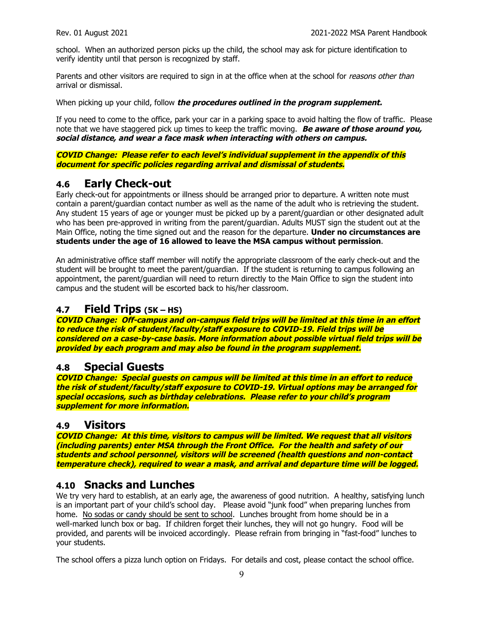school. When an authorized person picks up the child, the school may ask for picture identification to verify identity until that person is recognized by staff.

Parents and other visitors are required to sign in at the office when at the school for reasons other than arrival or dismissal.

When picking up your child, follow **the procedures outlined in the program supplement.**

If you need to come to the office, park your car in a parking space to avoid halting the flow of traffic. Please note that we have staggered pick up times to keep the traffic moving. **Be aware of those around you, social distance, and wear <sup>a</sup> face mask when interacting with others on campus.**

**COVID Change: Please refer to each level's individual supplement in the appendix of this document for specific policies regarding arrival and dismissal of students.**

#### **4.6 Early Check-out**

Early check-out for appointments or illness should be arranged prior to departure. A written note must contain a parent/guardian contact number as well as the name of the adult who is retrieving the student. Any student 15 years of age or younger must be picked up by a parent/guardian or other designated adult who has been pre-approved in writing from the parent/guardian. Adults MUST sign the student out at the Main Office, noting the time signed out and the reason for the departure. **Under no circumstances are students under the age of 16 allowed to leave the MSA campus without permission**.

An administrative office staff member will notify the appropriate classroom of the early check-out and the student will be brought to meet the parent/guardian. If the student is returning to campus following an appointment, the parent/guardian will need to return directly to the Main Office to sign the student into campus and the student will be escorted back to his/her classroom.

#### **4.7 Field Trips (5K – HS)**

**COVID Change: Off-campus and on-campus field trips will be limited at this time in an effort to reduce the risk of student/faculty/staff exposure to COVID-19. Field trips will be considered on <sup>a</sup> case-by-case basis. More information about possible virtual field trips will be provided by each program and may also be found in the program supplement.**

#### **4.8 Special Guests**

**COVID Change: Special guests on campus will be limited at this time in an effort to reduce the risk of student/faculty/staff exposure to COVID-19. Virtual options may be arranged for special occasions, such as birthday celebrations. Please refer to your child's program supplement for more information.**

#### **4.9 Visitors**

**COVID Change: At this time, visitors to campus will be limited. We request that all visitors (including parents) enter MSA through the Front Office. For the health and safety of our students and school personnel, visitors will be screened (health questions and non-contact temperature check), required to wear <sup>a</sup> mask, and arrival and departure time will be logged.**

#### **4.10 Snacks and Lunches**

We try very hard to establish, at an early age, the awareness of good nutrition. A healthy, satisfying lunch is an important part of your child's school day. Please avoid "junk food" when preparing lunches from home. No sodas or candy should be sent to school. Lunches brought from home should be in a well-marked lunch box or bag. If children forget their lunches, they will not go hungry. Food will be provided, and parents will be invoiced accordingly. Please refrain from bringing in "fast-food" lunches to your students.

The school offers a pizza lunch option on Fridays. For details and cost, please contact the school office.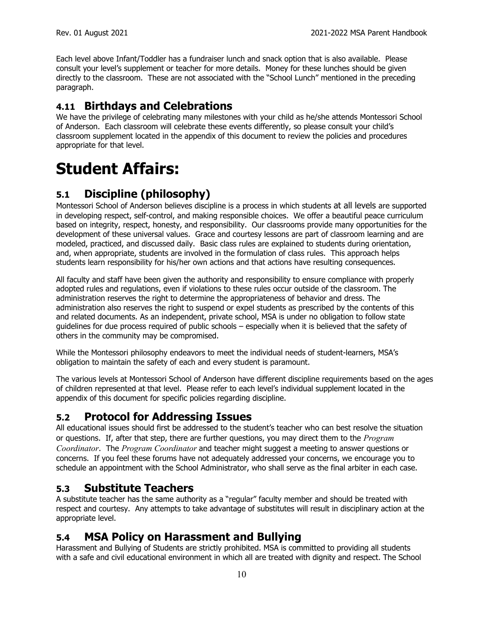Each level above Infant/Toddler has a fundraiser lunch and snack option that is also available. Please consult your level's supplement or teacher for more details. Money for these lunches should be given directly to the classroom. These are not associated with the "School Lunch" mentioned in the preceding paragraph.

#### **4.11 Birthdays and Celebrations**

We have the privilege of celebrating many milestones with your child as he/she attends Montessori School of Anderson. Each classroom will celebrate these events differently, so please consult your child's classroom supplement located in the appendix of this document to review the policies and procedures appropriate for that level.

## **Student Affairs:**

## **5.1 Discipline (philosophy)**

Montessori School of Anderson believes discipline is a process in which students at all levels are supported in developing respect, self-control, and making responsible choices. We offer a beautiful peace curriculum based on integrity, respect, honesty, and responsibility. Our classrooms provide many opportunities for the development of these universal values. Grace and courtesy lessons are part of classroom learning and are modeled, practiced, and discussed daily. Basic class rules are explained to students during orientation, and, when appropriate, students are involved in the formulation of class rules. This approach helps students learn responsibility for his/her own actions and that actions have resulting consequences.

All faculty and staff have been given the authority and responsibility to ensure compliance with properly adopted rules and regulations, even if violations to these rules occur outside of the classroom. The administration reserves the right to determine the appropriateness of behavior and dress. The administration also reserves the right to suspend or expel students as prescribed by the contents of this and related documents. As an independent, private school, MSA is under no obligation to follow state guidelines for due process required of public schools – especially when it is believed that the safety of others in the community may be compromised.

While the Montessori philosophy endeavors to meet the individual needs of student-learners, MSA's obligation to maintain the safety of each and every student is paramount.

The various levels at Montessori School of Anderson have different discipline requirements based on the ages of children represented at that level. Please refer to each level's individual supplement located in the appendix of this document for specific policies regarding discipline.

## **5.2 Protocol for Addressing Issues**

All educational issues should first be addressed to the student's teacher who can best resolve the situation or questions. If, after that step, there are further questions, you may direct them to the *Program Coordinator*. The *Program Coordinator* and teacher might suggest a meeting to answer questions or concerns. If you feel these forums have not adequately addressed your concerns, we encourage you to schedule an appointment with the School Administrator, who shall serve as the final arbiter in each case.

#### **5.3 Substitute Teachers**

A substitute teacher has the same authority as a "regular" faculty member and should be treated with respect and courtesy. Any attempts to take advantage of substitutes will result in disciplinary action at the appropriate level.

## **5.4 MSA Policy on Harassment and Bullying**

Harassment and Bullying of Students are strictly prohibited. MSA is committed to providing all students with a safe and civil educational environment in which all are treated with dignity and respect. The School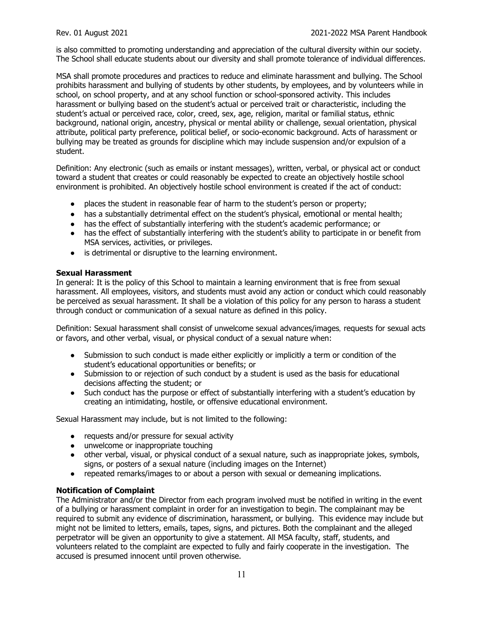is also committed to promoting understanding and appreciation of the cultural diversity within our society. The School shall educate students about our diversity and shall promote tolerance of individual differences.

MSA shall promote procedures and practices to reduce and eliminate harassment and bullying. The School prohibits harassment and bullying of students by other students, by employees, and by volunteers while in school, on school property, and at any school function or school-sponsored activity. This includes harassment or bullying based on the student's actual or perceived trait or characteristic, including the student's actual or perceived race, color, creed, sex, age, religion, marital or familial status, ethnic background, national origin, ancestry, physical or mental ability or challenge, sexual orientation, physical attribute, political party preference, political belief, or socio-economic background. Acts of harassment or bullying may be treated as grounds for discipline which may include suspension and/or expulsion of a student.

Definition: Any electronic (such as emails or instant messages), written, verbal, or physical act or conduct toward a student that creates or could reasonably be expected to create an objectively hostile school environment is prohibited. An objectively hostile school environment is created if the act of conduct:

- places the student in reasonable fear of harm to the student's person or property;
- has a substantially detrimental effect on the student's physical, emotional or mental health;
- has the effect of substantially interfering with the student's academic performance; or
- has the effect of substantially interfering with the student's ability to participate in or benefit from MSA services, activities, or privileges.
- is detrimental or disruptive to the learning environment.

#### **Sexual Harassment**

In general: It is the policy of this School to maintain a learning environment that is free from sexual harassment. All employees, visitors, and students must avoid any action or conduct which could reasonably be perceived as sexual harassment. It shall be a violation of this policy for any person to harass a student through conduct or communication of a sexual nature as defined in this policy.

Definition: Sexual harassment shall consist of unwelcome sexual advances/images*,* requests for sexual acts or favors, and other verbal, visual, or physical conduct of a sexual nature when:

- Submission to such conduct is made either explicitly or implicitly a term or condition of the student's educational opportunities or benefits; or
- Submission to or rejection of such conduct by a student is used as the basis for educational decisions affecting the student; or
- Such conduct has the purpose or effect of substantially interfering with a student's education by creating an intimidating, hostile, or offensive educational environment.

Sexual Harassment may include, but is not limited to the following:

- requests and/or pressure for sexual activity
- unwelcome or inappropriate touching
- other verbal, visual, or physical conduct of a sexual nature, such as inappropriate jokes, symbols, signs, or posters of a sexual nature (including images on the Internet)
- repeated remarks/images to or about a person with sexual or demeaning implications.

#### **Notification of Complaint**

The Administrator and/or the Director from each program involved must be notified in writing in the event of a bullying or harassment complaint in order for an investigation to begin. The complainant may be required to submit any evidence of discrimination, harassment, or bullying. This evidence may include but might not be limited to letters, emails, tapes, signs, and pictures. Both the complainant and the alleged perpetrator will be given an opportunity to give a statement. All MSA faculty, staff, students, and volunteers related to the complaint are expected to fully and fairly cooperate in the investigation. The accused is presumed innocent until proven otherwise.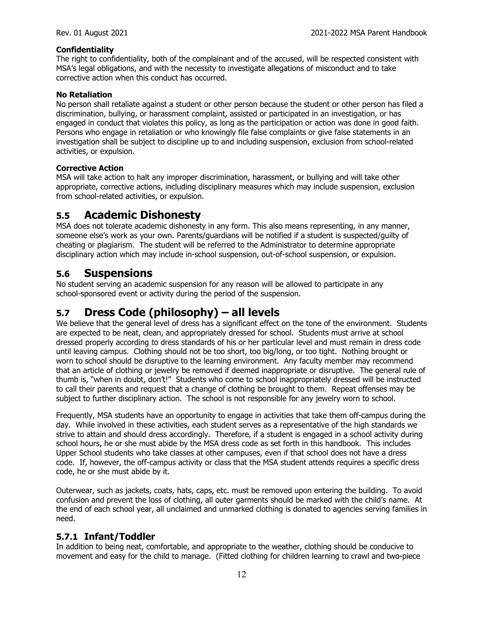#### **Confidentiality**

The right to confidentiality, both of the complainant and of the accused, will be respected consistent with MSA's legal obligations, and with the necessity to investigate allegations of misconduct and to take corrective action when this conduct has occurred.

#### **No Retaliation**

No person shall retaliate against a student or other person because the student or other person has filed a discrimination, bullying, or harassment complaint, assisted or participated in an investigation, or has engaged in conduct that violates this policy, as long as the participation or action was done in good faith. Persons who engage in retaliation or who knowingly file false complaints or give false statements in an investigation shall be subject to discipline up to and including suspension, exclusion from school-related activities, or expulsion.

#### **Corrective Action**

MSA will take action to halt any improper discrimination, harassment, or bullying and will take other appropriate, corrective actions, including disciplinary measures which may include suspension, exclusion from school-related activities, or expulsion.

#### **5.5 Academic Dishonesty**

MSA does not tolerate academic dishonesty in any form. This also means representing, in any manner, someone else's work as your own. Parents/guardians will be notified if a student is suspected/guilty of cheating or plagiarism. The student will be referred to the Administrator to determine appropriate disciplinary action which may include in-school suspension, out-of-school suspension, or expulsion.

#### **5.6 Suspensions**

No student serving an academic suspension for any reason will be allowed to participate in any school-sponsored event or activity during the period of the suspension.

#### **5.7 Dress Code (philosophy) – all levels**

We believe that the general level of dress has a significant effect on the tone of the environment. Students are expected to be neat, clean, and appropriately dressed for school. Students must arrive at school dressed properly according to dress standards of his or her particular level and must remain in dress code until leaving campus. Clothing should not be too short, too big/long, or too tight. Nothing brought or worn to school should be disruptive to the learning environment. Any faculty member may recommend that an article of clothing or jewelry be removed if deemed inappropriate or disruptive. The general rule of thumb is, "when in doubt, don't!" Students who come to school inappropriately dressed will be instructed to call their parents and request that a change of clothing be brought to them. Repeat offenses may be subject to further disciplinary action. The school is not responsible for any jewelry worn to school.

Frequently, MSA students have an opportunity to engage in activities that take them off-campus during the day. While involved in these activities, each student serves as a representative of the high standards we strive to attain and should dress accordingly. Therefore, if a student is engaged in a school activity during school hours, he or she must abide by the MSA dress code as set forth in this handbook. This includes Upper School students who take classes at other campuses, even if that school does not have a dress code. If, however, the off-campus activity or class that the MSA student attends requires a specific dress code, he or she must abide by it.

Outerwear, such as jackets, coats, hats, caps, etc. must be removed upon entering the building. To avoid confusion and prevent the loss of clothing, all outer garments should be marked with the child's name. At the end of each school year, all unclaimed and unmarked clothing is donated to agencies serving families in need.

#### **5.7.1 Infant/Toddler**

In addition to being neat, comfortable, and appropriate to the weather, clothing should be conducive to movement and easy for the child to manage. (Fitted clothing for children learning to crawl and two-piece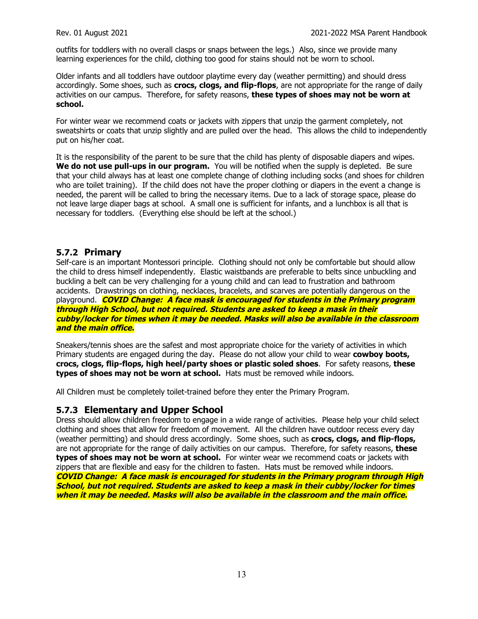outfits for toddlers with no overall clasps or snaps between the legs.) Also, since we provide many learning experiences for the child, clothing too good for stains should not be worn to school.

Older infants and all toddlers have outdoor playtime every day (weather permitting) and should dress accordingly. Some shoes, such as **crocs, clogs, and flip-flops**, are not appropriate for the range of daily activities on our campus. Therefore, for safety reasons, **these types of shoes may not be worn at school.**

For winter wear we recommend coats or jackets with zippers that unzip the garment completely, not sweatshirts or coats that unzip slightly and are pulled over the head. This allows the child to independently put on his/her coat.

It is the responsibility of the parent to be sure that the child has plenty of disposable diapers and wipes. **We do not use pull-ups in our program.** You will be notified when the supply is depleted. Be sure that your child always has at least one complete change of clothing including socks (and shoes for children who are toilet training). If the child does not have the proper clothing or diapers in the event a change is needed, the parent will be called to bring the necessary items. Due to a lack of storage space, please do not leave large diaper bags at school. A small one is sufficient for infants, and a lunchbox is all that is necessary for toddlers. (Everything else should be left at the school.)

#### **5.7.2 Primary**

Self-care is an important Montessori principle. Clothing should not only be comfortable but should allow the child to dress himself independently. Elastic waistbands are preferable to belts since unbuckling and buckling a belt can be very challenging for a young child and can lead to frustration and bathroom accidents. Drawstrings on clothing, necklaces, bracelets, and scarves are potentially dangerous on the playground. **COVID Change: A face mask is encouraged for students in the Primary program through High School, but not required. Students are asked to keep <sup>a</sup> mask in their cubby/locker for times when it may be needed. Masks will also be available in the classroom and the main office.**

Sneakers/tennis shoes are the safest and most appropriate choice for the variety of activities in which Primary students are engaged during the day. Please do not allow your child to wear **cowboy boots, crocs, clogs, flip-flops, high heel/party shoes or plastic soled shoes**. For safety reasons, **these types of shoes may not be worn at school.** Hats must be removed while indoors.

All Children must be completely toilet-trained before they enter the Primary Program.

#### **5.7.3 Elementary and Upper School**

Dress should allow children freedom to engage in a wide range of activities. Please help your child select clothing and shoes that allow for freedom of movement. All the children have outdoor recess every day (weather permitting) and should dress accordingly. Some shoes, such as **crocs, clogs, and flip-flops,** are not appropriate for the range of daily activities on our campus. Therefore, for safety reasons, **these types of shoes may not be worn at school.** For winter wear we recommend coats or jackets with zippers that are flexible and easy for the children to fasten. Hats must be removed while indoors. **COVID Change: A face mask is encouraged for students in the Primary program through High School, but not required. Students are asked to keep <sup>a</sup> mask in their cubby/locker for times when it may be needed. Masks will also be available in the classroom and the main office.**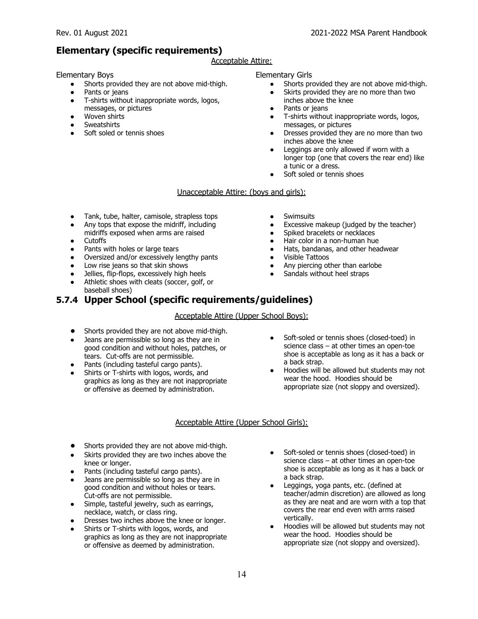#### **Elementary (specific requirements)**

#### Acceptable Attire:

Elementary Boys

- Shorts provided they are not above mid-thigh.
- Pants or jeans
- T-shirts without inappropriate words, logos, messages, or pictures
- Woven shirts
- **Sweatshirts**
- Soft soled or tennis shoes

#### Elementary Girls

- Shorts provided they are not above mid-thigh.
- Skirts provided they are no more than two inches above the knee
- Pants or jeans
- T-shirts without inappropriate words, logos, messages, or pictures
- Dresses provided they are no more than two inches above the knee
- Leggings are only allowed if worn with a longer top (one that covers the rear end) like a tunic or a dress.
- Soft soled or tennis shoes

#### Unacceptable Attire: (boys and girls):

- Tank, tube, halter, camisole, strapless tops
- Any tops that expose the midriff, including
- midriffs exposed when arms are raised
- Cutoffs
- Pants with holes or large tears
- Oversized and/or excessively lengthy pants
- Low rise jeans so that skin shows
- Jellies, flip-flops, excessively high heels
- Athletic shoes with cleats (soccer, golf, or baseball shoes)
- Swimsuits
- Excessive makeup (judged by the teacher)
- Spiked bracelets or necklaces
- Hair color in a non-human hue
- Hats, bandanas, and other headwear
- Visible Tattoos
- Any piercing other than earlobe
- Sandals without heel straps

#### **5.7.4 Upper School (specific requirements/guidelines)**

#### Acceptable Attire (Upper School Boys):

- *●* Shorts provided they are not above mid-thigh.
- Jeans are permissible so long as they are in good condition and without holes, patches, or tears. Cut-offs are not permissible.
- Pants (including tasteful cargo pants).
- Shirts or T-shirts with logos, words, and graphics as long as they are not inappropriate or offensive as deemed by administration.
- Soft-soled or tennis shoes (closed-toed) in science class – at other times an open-toe shoe is acceptable as long as it has a back or a back strap.
- Hoodies will be allowed but students may not wear the hood. Hoodies should be appropriate size (not sloppy and oversized).

#### Acceptable Attire (Upper School Girls):

- *●* Shorts provided they are not above mid-thigh.
- Skirts provided they are two inches above the knee or longer.
- Pants (including tasteful cargo pants).
- $\bullet$  Jeans are permissible so long as they are in good condition and without holes or tears. Cut-offs are not permissible.
- Simple, tasteful jewelry, such as earrings, necklace, watch, or class ring.
- Dresses two inches above the knee or longer.
- Shirts or T-shirts with logos, words, and graphics as long as they are not inappropriate or offensive as deemed by administration.
- Soft-soled or tennis shoes (closed-toed) in science class – at other times an open-toe shoe is acceptable as long as it has a back or a back strap.
- Leggings, yoga pants, etc. (defined at teacher/admin discretion) are allowed as long as they are neat and are worn with a top that covers the rear end even with arms raised vertically.
- Hoodies will be allowed but students may not wear the hood. Hoodies should be appropriate size (not sloppy and oversized).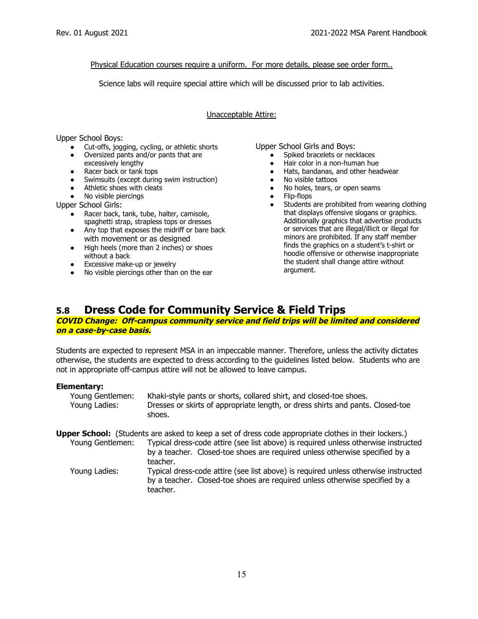#### Physical Education courses require a uniform. For more details, please see order form..

Science labs will require special attire which will be discussed prior to lab activities.

#### Unacceptable Attire:

Upper School Boys:

- Cut-offs, jogging, cycling, or athletic shorts
- Oversized pants and/or pants that are excessively lengthy
- Racer back or tank tops
- Swimsuits (except during swim instruction)
- Athletic shoes with cleats
- No visible piercings

Upper School Girls:

- Racer back, tank, tube, halter, camisole, spaghetti strap, strapless tops or dresses
- Any top that exposes the midriff or bare back with movement or as designed
- High heels (more than 2 inches) or shoes without a back
- Excessive make-up or jewelry
- No visible piercings other than on the ear

teacher.

Upper School Girls and Boys:

- Spiked bracelets or necklaces
- Hair color in a non-human hue
- Hats, bandanas, and other headwear
- No visible tattoos
- No holes, tears, or open seams
- Flip-flops
- Students are prohibited from wearing clothing that displays offensive slogans or graphics. Additionally graphics that advertise products or services that are illegal/illicit or illegal for minors are prohibited. If any staff member finds the graphics on a student's t-shirt or hoodie offensive or otherwise inappropriate the student shall change attire without argument.

#### **5.8 Dress Code for Community Service & Field Trips**

#### **COVID Change: Off-campus community service and field trips will be limited and considered on <sup>a</sup> case-by-case basis.**

Students are expected to represent MSA in an impeccable manner. Therefore, unless the activity dictates otherwise, the students are expected to dress according to the guidelines listed below. Students who are not in appropriate off-campus attire will not be allowed to leave campus.

#### **Elementary:**

| Young Gentlemen: | Khaki-style pants or shorts, collared shirt, and closed-toe shoes.             |
|------------------|--------------------------------------------------------------------------------|
| Young Ladies:    | Dresses or skirts of appropriate length, or dress shirts and pants. Closed-toe |
|                  | shoes.                                                                         |

**Upper School:** (Students are asked to keep a set of dress code appropriate clothes in their lockers.)

Young Gentlemen: Typical dress-code attire (see list above) is required unless otherwise instructed by a teacher. Closed-toe shoes are required unless otherwise specified by a teacher. Young Ladies: Typical dress-code attire (see list above) is required unless otherwise instructed by a teacher. Closed-toe shoes are required unless otherwise specified by a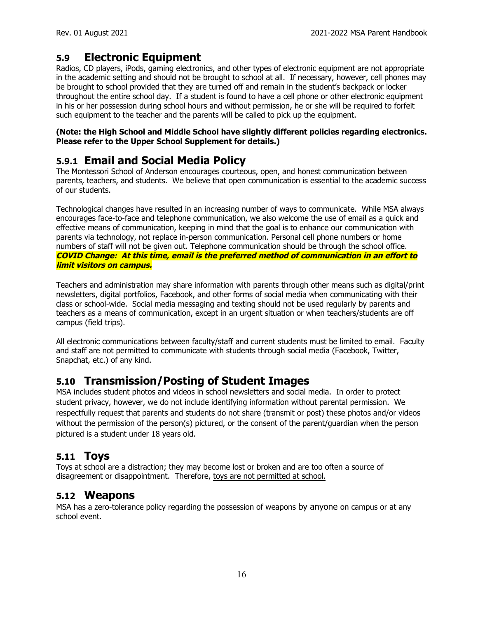## **5.9 Electronic Equipment**

Radios, CD players, iPods, gaming electronics, and other types of electronic equipment are not appropriate in the academic setting and should not be brought to school at all. If necessary, however, cell phones may be brought to school provided that they are turned off and remain in the student's backpack or locker throughout the entire school day. If a student is found to have a cell phone or other electronic equipment in his or her possession during school hours and without permission, he or she will be required to forfeit such equipment to the teacher and the parents will be called to pick up the equipment.

#### **(Note: the High School and Middle School have slightly different policies regarding electronics. Please refer to the Upper School Supplement for details.)**

## **5.9.1 Email and Social Media Policy**

The Montessori School of Anderson encourages courteous, open, and honest communication between parents, teachers, and students. We believe that open communication is essential to the academic success of our students.

Technological changes have resulted in an increasing number of ways to communicate. While MSA always encourages face-to-face and telephone communication, we also welcome the use of email as a quick and effective means of communication, keeping in mind that the goal is to enhance our communication with parents via technology, not replace in-person communication. Personal cell phone numbers or home numbers of staff will not be given out. Telephone communication should be through the school office. **COVID Change: At this time, email is the preferred method of communication in an effort to limit visitors on campus.**

Teachers and administration may share information with parents through other means such as digital/print newsletters, digital portfolios, Facebook, and other forms of social media when communicating with their class or school-wide. Social media messaging and texting should not be used regularly by parents and teachers as a means of communication, except in an urgent situation or when teachers/students are off campus (field trips).

All electronic communications between faculty/staff and current students must be limited to email. Faculty and staff are not permitted to communicate with students through social media (Facebook, Twitter, Snapchat, etc.) of any kind.

#### **5.10 Transmission/Posting of Student Images**

MSA includes student photos and videos in school newsletters and social media. In order to protect student privacy, however, we do not include identifying information without parental permission. We respectfully request that parents and students do not share (transmit or post) these photos and/or videos without the permission of the person(s) pictured, or the consent of the parent/guardian when the person pictured is a student under 18 years old.

#### **5.11 Toys**

Toys at school are a distraction; they may become lost or broken and are too often a source of disagreement or disappointment. Therefore, toys are not permitted at school.

#### **5.12 Weapons**

MSA has a zero-tolerance policy regarding the possession of weapons by anyone on campus or at any school event.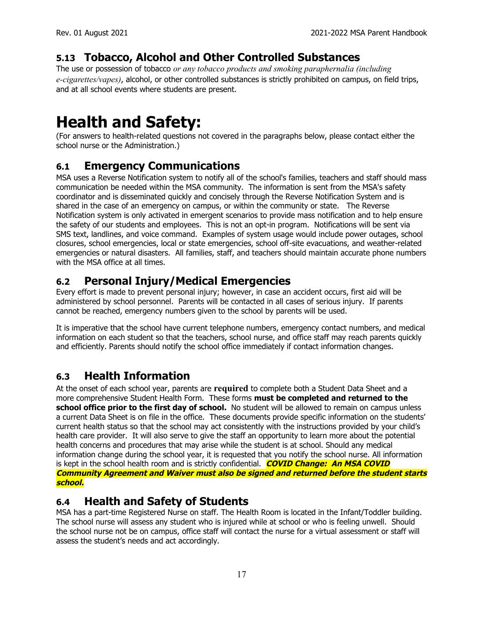## **5.13 Tobacco, Alcohol and Other Controlled Substances**

The use or possession of tobacco *or any tobacco products and smoking paraphernalia (including e-cigarettes/vapes)*, alcohol, or other controlled substances is strictly prohibited on campus, on field trips, and at all school events where students are present.

## **Health and Safety:**

(For answers to health-related questions not covered in the paragraphs below, please contact either the school nurse or the Administration.)

## **6.1 Emergency Communications**

MSA uses a Reverse Notification system to notify all of the school's families, teachers and staff should mass communication be needed within the MSA community. The information is sent from the MSA's safety coordinator and is disseminated quickly and concisely through the Reverse Notification System and is shared in the case of an emergency on campus, or within the community or state. The Reverse Notification system is only activated in emergent scenarios to provide mass notification and to help ensure the safety of our students and employees. This is not an opt-in program. Notifications will be sent via SMS text, landlines, and voice command. Examples of system usage would include power outages, school closures, school emergencies, local or state emergencies, school off-site evacuations, and weather-related emergencies or natural disasters. All families, staff, and teachers should maintain accurate phone numbers with the MSA office at all times.

## **6.2 Personal Injury/Medical Emergencies**

Every effort is made to prevent personal injury; however, in case an accident occurs, first aid will be administered by school personnel. Parents will be contacted in all cases of serious injury. If parents cannot be reached, emergency numbers given to the school by parents will be used.

It is imperative that the school have current telephone numbers, emergency contact numbers, and medical information on each student so that the teachers, school nurse, and office staff may reach parents quickly and efficiently. Parents should notify the school office immediately if contact information changes.

## **6.3 Health Information**

At the onset of each school year, parents are **required** to complete both a Student Data Sheet and a more comprehensive Student Health Form. These forms **must be completed and returned to the school office prior to the first day of school.** No student will be allowed to remain on campus unless a current Data Sheet is on file in the office. These documents provide specific information on the students' current health status so that the school may act consistently with the instructions provided by your child's health care provider. It will also serve to give the staff an opportunity to learn more about the potential health concerns and procedures that may arise while the student is at school. Should any medical information change during the school year, it is requested that you notify the school nurse. All information is kept in the school health room and is strictly confidential. **COVID Change: An MSA COVID Community Agreement and Waiver must also be signed and returned before the student starts school.**

#### **6.4 Health and Safety of Students**

MSA has a part-time Registered Nurse on staff. The Health Room is located in the Infant/Toddler building. The school nurse will assess any student who is injured while at school or who is feeling unwell. Should the school nurse not be on campus, office staff will contact the nurse for a virtual assessment or staff will assess the student's needs and act accordingly.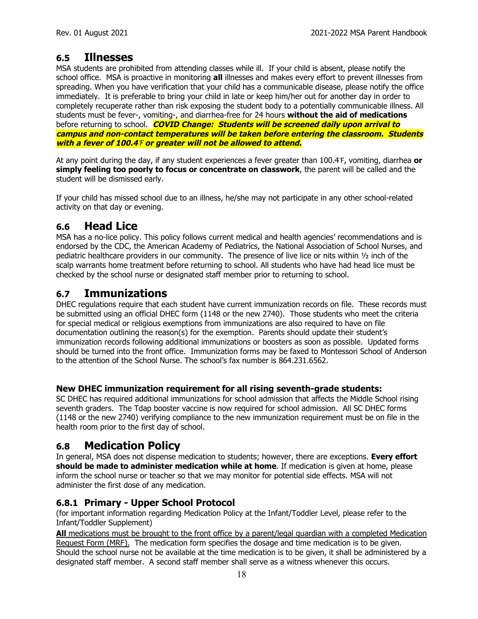#### **6.5 Illnesses**

MSA students are prohibited from attending classes while ill. If your child is absent, please notify the school office. MSA is proactive in monitoring **all** illnesses and makes every effort to prevent illnesses from spreading. When you have verification that your child has a communicable disease, please notify the office immediately. It is preferable to bring your child in late or keep him/her out for another day in order to completely recuperate rather than risk exposing the student body to a potentially communicable illness. All students must be fever-, vomiting-, and diarrhea-free for 24 hours **without the aid of medications** before returning to school. **COVID Change: Students will be screened daily upon arrival to campus and non-contact temperatures will be taken before entering the classroom. Students with <sup>a</sup> fever of 100.4**℉ **or greater will not be allowed to attend.**

At any point during the day, if any student experiences a fever greater than 100.4℉, vomiting, diarrhea **or simply feeling too poorly to focus or concentrate on classwork**, the parent will be called and the student will be dismissed early.

If your child has missed school due to an illness, he/she may not participate in any other school-related activity on that day or evening.

#### **6.6 Head Lice**

MSA has a no-lice policy. This policy follows current medical and health agencies' recommendations and is endorsed by the CDC, the American Academy of Pediatrics, the National Association of School Nurses, and pediatric healthcare providers in our community. The presence of live lice or nits within ½ inch of the scalp warrants home treatment before returning to school. All students who have had head lice must be checked by the school nurse or designated staff member prior to returning to school.

#### **6.7 Immunizations**

DHEC regulations require that each student have current immunization records on file. These records must be submitted using an official DHEC form (1148 or the new 2740). Those students who meet the criteria for special medical or religious exemptions from immunizations are also required to have on file documentation outlining the reason(s) for the exemption. Parents should update their student's immunization records following additional immunizations or boosters as soon as possible. Updated forms should be turned into the front office. Immunization forms may be faxed to Montessori School of Anderson to the attention of the School Nurse. The school's fax number is 864.231.6562.

#### **New DHEC immunization requirement for all rising seventh-grade students:**

SC DHEC has required additional immunizations for school admission that affects the Middle School rising seventh graders. The Tdap booster vaccine is now required for school admission. All SC DHEC forms (1148 or the new 2740) verifying compliance to the new immunization requirement must be on file in the health room prior to the first day of school.

#### **6.8 Medication Policy**

In general, MSA does not dispense medication to students; however, there are exceptions. **Every effort should be made to administer medication while at home**. If medication is given at home, please inform the school nurse or teacher so that we may monitor for potential side effects. MSA will not administer the first dose of any medication.

#### **6.8.1 Primary - Upper School Protocol**

(for important information regarding Medication Policy at the Infant/Toddler Level, please refer to the Infant/Toddler Supplement)

**All** medications must be brought to the front office by a parent/legal guardian with a completed Medication Request Form (MRF). The medication form specifies the dosage and time medication is to be given. Should the school nurse not be available at the time medication is to be given, it shall be administered by a designated staff member. A second staff member shall serve as a witness whenever this occurs.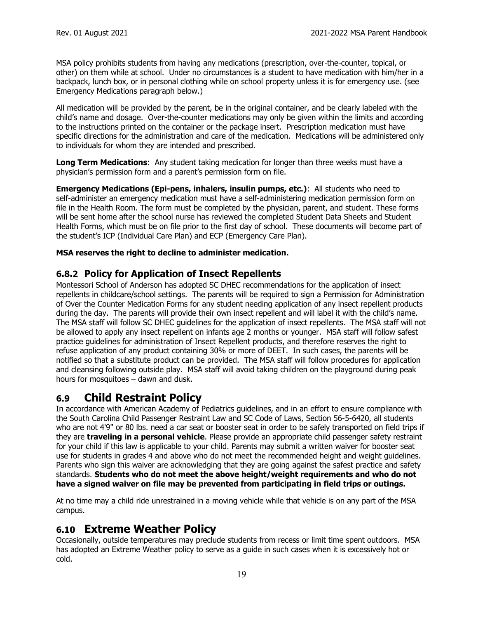MSA policy prohibits students from having any medications (prescription, over-the-counter, topical, or other) on them while at school. Under no circumstances is a student to have medication with him/her in a backpack, lunch box, or in personal clothing while on school property unless it is for emergency use. (see Emergency Medications paragraph below.)

All medication will be provided by the parent, be in the original container, and be clearly labeled with the child's name and dosage. Over-the-counter medications may only be given within the limits and according to the instructions printed on the container or the package insert. Prescription medication must have specific directions for the administration and care of the medication. Medications will be administered only to individuals for whom they are intended and prescribed.

**Long Term Medications**: Any student taking medication for longer than three weeks must have a physician's permission form and a parent's permission form on file.

**Emergency Medications (Epi-pens, inhalers, insulin pumps, etc.)**: All students who need to self-administer an emergency medication must have a self-administering medication permission form on file in the Health Room. The form must be completed by the physician, parent, and student. These forms will be sent home after the school nurse has reviewed the completed Student Data Sheets and Student Health Forms, which must be on file prior to the first day of school. These documents will become part of the student's ICP (Individual Care Plan) and ECP (Emergency Care Plan).

#### **MSA reserves the right to decline to administer medication.**

#### **6.8.2 Policy for Application of Insect Repellents**

Montessori School of Anderson has adopted SC DHEC recommendations for the application of insect repellents in childcare/school settings. The parents will be required to sign a Permission for Administration of Over the Counter Medication Forms for any student needing application of any insect repellent products during the day. The parents will provide their own insect repellent and will label it with the child's name. The MSA staff will follow SC DHEC guidelines for the application of insect repellents. The MSA staff will not be allowed to apply any insect repellent on infants age 2 months or younger. MSA staff will follow safest practice guidelines for administration of Insect Repellent products, and therefore reserves the right to refuse application of any product containing 30% or more of DEET. In such cases, the parents will be notified so that a substitute product can be provided. The MSA staff will follow procedures for application and cleansing following outside play. MSA staff will avoid taking children on the playground during peak hours for mosquitoes – dawn and dusk.

#### **6.9 Child Restraint Policy**

In accordance with American Academy of Pediatrics guidelines, and in an effort to ensure compliance with the South Carolina Child Passenger Restraint Law and SC Code of Laws, Section 56-5-6420, all students who are not 4'9" or 80 lbs. need a car seat or booster seat in order to be safely transported on field trips if they are **traveling in a personal vehicle**. Please provide an appropriate child passenger safety restraint for your child if this law is applicable to your child. Parents may submit a written waiver for booster seat use for students in grades 4 and above who do not meet the recommended height and weight guidelines. Parents who sign this waiver are acknowledging that they are going against the safest practice and safety standards. **Students who do not meet the above height/weight requirements and who do not have a signed waiver on file may be prevented from participating in field trips or outings.**

At no time may a child ride unrestrained in a moving vehicle while that vehicle is on any part of the MSA campus.

#### **6.10 Extreme Weather Policy**

Occasionally, outside temperatures may preclude students from recess or limit time spent outdoors. MSA has adopted an Extreme Weather policy to serve as a guide in such cases when it is excessively hot or cold.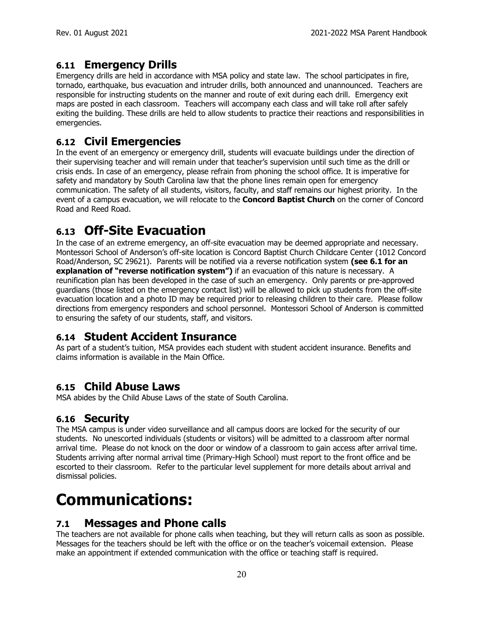#### **6.11 Emergency Drills**

Emergency drills are held in accordance with MSA policy and state law. The school participates in fire, tornado, earthquake, bus evacuation and intruder drills, both announced and unannounced. Teachers are responsible for instructing students on the manner and route of exit during each drill. Emergency exit maps are posted in each classroom. Teachers will accompany each class and will take roll after safely exiting the building. These drills are held to allow students to practice their reactions and responsibilities in emergencies.

## **6.12 Civil Emergencies**

In the event of an emergency or emergency drill, students will evacuate buildings under the direction of their supervising teacher and will remain under that teacher's supervision until such time as the drill or crisis ends. In case of an emergency, please refrain from phoning the school office. It is imperative for safety and mandatory by South Carolina law that the phone lines remain open for emergency communication. The safety of all students, visitors, faculty, and staff remains our highest priority. In the event of a campus evacuation, we will relocate to the **Concord Baptist Church** on the corner of Concord Road and Reed Road.

## **6.13 Off-Site Evacuation**

In the case of an extreme emergency, an off-site evacuation may be deemed appropriate and necessary. Montessori School of Anderson's off-site location is Concord Baptist Church Childcare Center (1012 Concord Road/Anderson, SC 29621). Parents will be notified via a reverse notification system **(see 6.1 for an explanation of "reverse notification system")** if an evacuation of this nature is necessary. A reunification plan has been developed in the case of such an emergency. Only parents or pre-approved guardians (those listed on the emergency contact list) will be allowed to pick up students from the off-site evacuation location and a photo ID may be required prior to releasing children to their care. Please follow directions from emergency responders and school personnel. Montessori School of Anderson is committed to ensuring the safety of our students, staff, and visitors.

#### **6.14 Student Accident Insurance**

As part of a student's tuition, MSA provides each student with student accident insurance. Benefits and claims information is available in the Main Office.

#### **6.15 Child Abuse Laws**

MSA abides by the Child Abuse Laws of the state of South Carolina.

## **6.16 Security**

The MSA campus is under video surveillance and all campus doors are locked for the security of our students. No unescorted individuals (students or visitors) will be admitted to a classroom after normal arrival time. Please do not knock on the door or window of a classroom to gain access after arrival time. Students arriving after normal arrival time (Primary-High School) must report to the front office and be escorted to their classroom. Refer to the particular level supplement for more details about arrival and dismissal policies.

## **Communications:**

#### **7.1 Messages and Phone calls**

The teachers are not available for phone calls when teaching, but they will return calls as soon as possible. Messages for the teachers should be left with the office or on the teacher's voicemail extension. Please make an appointment if extended communication with the office or teaching staff is required.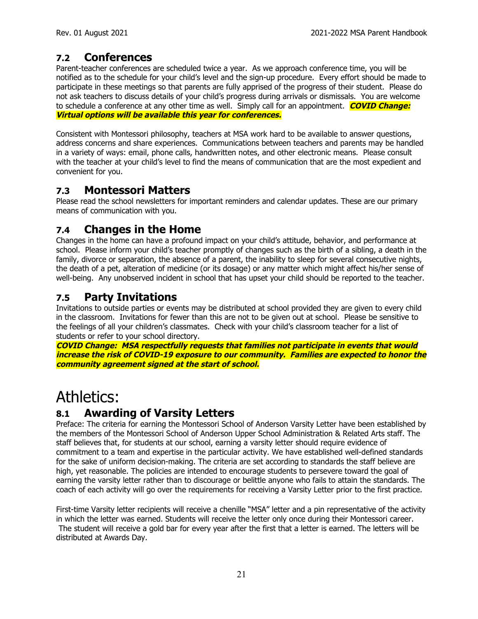## **7.2 Conferences**

Parent-teacher conferences are scheduled twice a year. As we approach conference time, you will be notified as to the schedule for your child's level and the sign-up procedure. Every effort should be made to participate in these meetings so that parents are fully apprised of the progress of their student. Please do not ask teachers to discuss details of your child's progress during arrivals or dismissals. You are welcome to schedule a conference at any other time as well. Simply call for an appointment. **COVID Change: Virtual options will be available this year for conferences.**

Consistent with Montessori philosophy, teachers at MSA work hard to be available to answer questions, address concerns and share experiences. Communications between teachers and parents may be handled in a variety of ways: email, phone calls, handwritten notes, and other electronic means. Please consult with the teacher at your child's level to find the means of communication that are the most expedient and convenient for you.

#### **7.3 Montessori Matters**

Please read the school newsletters for important reminders and calendar updates. These are our primary means of communication with you.

## **7.4 Changes in the Home**

Changes in the home can have a profound impact on your child's attitude, behavior, and performance at school. Please inform your child's teacher promptly of changes such as the birth of a sibling, a death in the family, divorce or separation, the absence of a parent, the inability to sleep for several consecutive nights, the death of a pet, alteration of medicine (or its dosage) or any matter which might affect his/her sense of well-being. Any unobserved incident in school that has upset your child should be reported to the teacher.

#### **7.5 Party Invitations**

Invitations to outside parties or events may be distributed at school provided they are given to every child in the classroom. Invitations for fewer than this are not to be given out at school. Please be sensitive to the feelings of all your children's classmates. Check with your child's classroom teacher for a list of students or refer to your school directory.

**COVID Change: MSA respectfully requests that families not participate in events that would increase the risk of COVID-19 exposure to our community. Families are expected to honor the community agreement signed at the start of school.**

## Athletics:

## **8.1 Awarding of Varsity Letters**

Preface: The criteria for earning the Montessori School of Anderson Varsity Letter have been established by the members of the Montessori School of Anderson Upper School Administration & Related Arts staff. The staff believes that, for students at our school, earning a varsity letter should require evidence of commitment to a team and expertise in the particular activity. We have established well-defined standards for the sake of uniform decision-making. The criteria are set according to standards the staff believe are high, yet reasonable. The policies are intended to encourage students to persevere toward the goal of earning the varsity letter rather than to discourage or belittle anyone who fails to attain the standards. The coach of each activity will go over the requirements for receiving a Varsity Letter prior to the first practice.

First-time Varsity letter recipients will receive a chenille "MSA" letter and a pin representative of the activity in which the letter was earned. Students will receive the letter only once during their Montessori career. The student will receive a gold bar for every year after the first that a letter is earned. The letters will be distributed at Awards Day.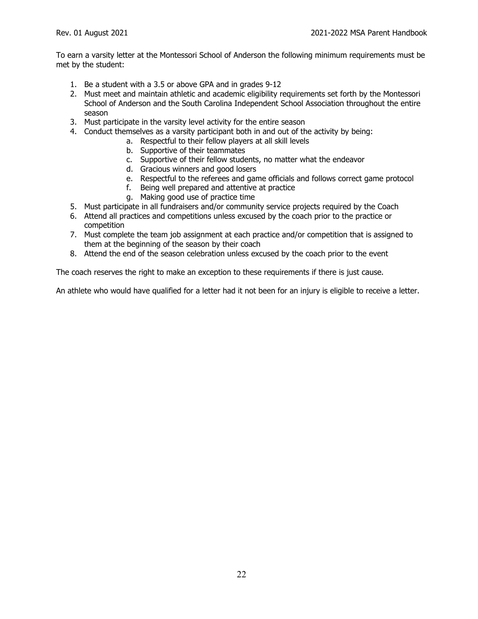To earn a varsity letter at the Montessori School of Anderson the following minimum requirements must be met by the student:

- 1. Be a student with a 3.5 or above GPA and in grades 9-12
- 2. Must meet and maintain athletic and academic eligibility requirements set forth by the Montessori School of Anderson and the South Carolina Independent School Association throughout the entire season
- 3. Must participate in the varsity level activity for the entire season
- 4. Conduct themselves as a varsity participant both in and out of the activity by being:
	- a. Respectful to their fellow players at all skill levels
		- b. Supportive of their teammates
		- c. Supportive of their fellow students, no matter what the endeavor
		- d. Gracious winners and good losers
		- e. Respectful to the referees and game officials and follows correct game protocol
		- f. Being well prepared and attentive at practice
		- g. Making good use of practice time
- 5. Must participate in all fundraisers and/or community service projects required by the Coach
- 6. Attend all practices and competitions unless excused by the coach prior to the practice or competition
- 7. Must complete the team job assignment at each practice and/or competition that is assigned to them at the beginning of the season by their coach
- 8. Attend the end of the season celebration unless excused by the coach prior to the event

The coach reserves the right to make an exception to these requirements if there is just cause.

An athlete who would have qualified for a letter had it not been for an injury is eligible to receive a letter.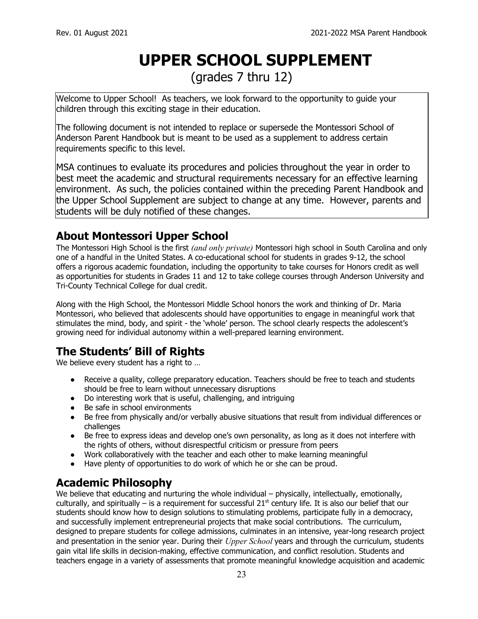## **UPPER SCHOOL SUPPLEMENT**

(grades 7 thru 12)

Welcome to Upper School! As teachers, we look forward to the opportunity to guide your children through this exciting stage in their education.

The following document is not intended to replace or supersede the Montessori School of Anderson Parent Handbook but is meant to be used as a supplement to address certain requirements specific to this level.

MSA continues to evaluate its procedures and policies throughout the year in order to best meet the academic and structural requirements necessary for an effective learning environment. As such, the policies contained within the preceding Parent Handbook and the Upper School Supplement are subject to change at any time. However, parents and students will be duly notified of these changes.

## **About Montessori Upper School**

The Montessori High School is the first *(and only private)* Montessori high school in South Carolina and only one of a handful in the United States. A co-educational school for students in grades 9-12, the school offers a rigorous academic foundation, including the opportunity to take courses for Honors credit as well as opportunities for students in Grades 11 and 12 to take college courses through Anderson University and Tri-County Technical College for dual credit.

Along with the High School, the Montessori Middle School honors the work and thinking of Dr. Maria Montessori, who believed that adolescents should have opportunities to engage in meaningful work that stimulates the mind, body, and spirit - the 'whole' person. The school clearly respects the adolescent's growing need for individual autonomy within a well-prepared learning environment.

## **The Students' Bill of Rights**

We believe every student has a right to …

- Receive a quality, college preparatory education. Teachers should be free to teach and students should be free to learn without unnecessary disruptions
- Do interesting work that is useful, challenging, and intriguing
- Be safe in school environments
- Be free from physically and/or verbally abusive situations that result from individual differences or challenges
- Be free to express ideas and develop one's own personality, as long as it does not interfere with the rights of others, without disrespectful criticism or pressure from peers
- Work collaboratively with the teacher and each other to make learning meaningful
- Have plenty of opportunities to do work of which he or she can be proud.

## **Academic Philosophy**

We believe that educating and nurturing the whole individual – physically, intellectually, emotionally, culturally, and spiritually – is a requirement for successful 21<sup>st</sup> century life. It is also our belief that our students should know how to design solutions to stimulating problems, participate fully in a democracy, and successfully implement entrepreneurial projects that make social contributions. The curriculum, designed to prepare students for college admissions, culminates in an intensive, year-long research project and presentation in the senior year. During their *Upper School* years and through the curriculum, students gain vital life skills in decision-making, effective communication, and conflict resolution. Students and teachers engage in a variety of assessments that promote meaningful knowledge acquisition and academic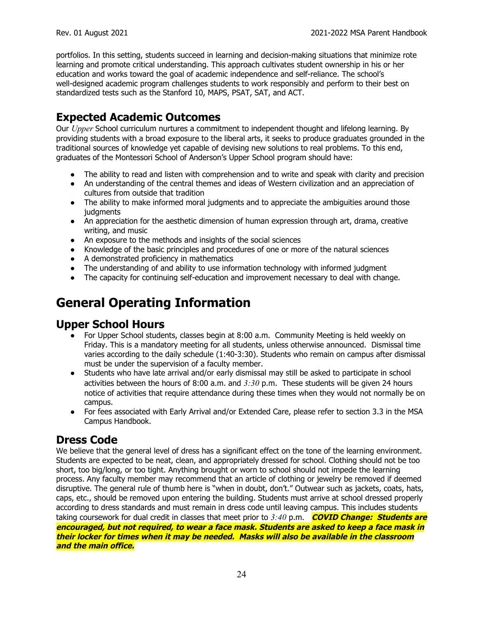portfolios. In this setting, students succeed in learning and decision-making situations that minimize rote learning and promote critical understanding. This approach cultivates student ownership in his or her education and works toward the goal of academic independence and self-reliance. The school's well-designed academic program challenges students to work responsibly and perform to their best on standardized tests such as the Stanford 10, MAPS, PSAT, SAT, and ACT.

## **Expected Academic Outcomes**

Our *Upper* School curriculum nurtures a commitment to independent thought and lifelong learning. By providing students with a broad exposure to the liberal arts, it seeks to produce graduates grounded in the traditional sources of knowledge yet capable of devising new solutions to real problems. To this end, graduates of the Montessori School of Anderson's Upper School program should have:

- The ability to read and listen with comprehension and to write and speak with clarity and precision
- An understanding of the central themes and ideas of Western civilization and an appreciation of cultures from outside that tradition
- The ability to make informed moral judgments and to appreciate the ambiguities around those judgments
- An appreciation for the aesthetic dimension of human expression through art, drama, creative writing, and music
- An exposure to the methods and insights of the social sciences
- Knowledge of the basic principles and procedures of one or more of the natural sciences
- A demonstrated proficiency in mathematics
- The understanding of and ability to use information technology with informed judgment
- The capacity for continuing self-education and improvement necessary to deal with change.

## **General Operating Information**

#### **Upper School Hours**

- For Upper School students, classes begin at 8:00 a.m. Community Meeting is held weekly on Friday. This is a mandatory meeting for all students, unless otherwise announced. Dismissal time varies according to the daily schedule (1:40-3:30). Students who remain on campus after dismissal must be under the supervision of a faculty member.
- Students who have late arrival and/or early dismissal may still be asked to participate in school activities between the hours of 8:00 a.m. and *3:30* p.m. These students will be given 24 hours notice of activities that require attendance during these times when they would not normally be on campus.
- For fees associated with Early Arrival and/or Extended Care, please refer to section 3.3 in the MSA Campus Handbook.

#### **Dress Code**

We believe that the general level of dress has a significant effect on the tone of the learning environment. Students are expected to be neat, clean, and appropriately dressed for school. Clothing should not be too short, too big/long, or too tight. Anything brought or worn to school should not impede the learning process. Any faculty member may recommend that an article of clothing or jewelry be removed if deemed disruptive. The general rule of thumb here is "when in doubt, don't." Outwear such as jackets, coats, hats, caps, etc., should be removed upon entering the building. Students must arrive at school dressed properly according to dress standards and must remain in dress code until leaving campus. This includes students taking coursework for dual credit in classes that meet prior to *3:40* p.m. **COVID Change: Students are encouraged, but not required, to wear <sup>a</sup> face mask. Students are asked to keep <sup>a</sup> face mask in their locker for times when it may be needed. Masks will also be available in the classroom and the main office.**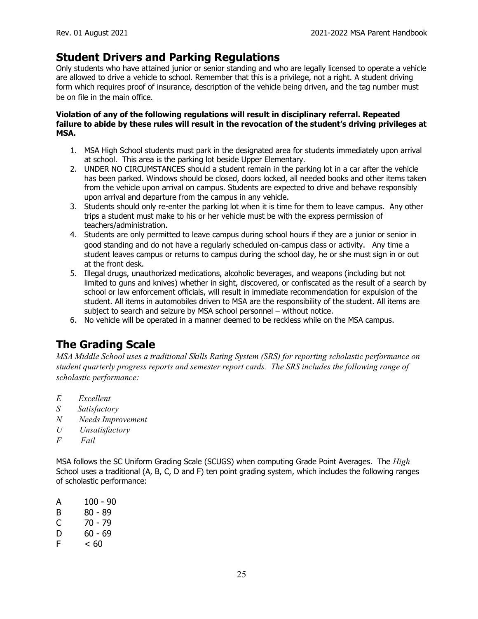## **Student Drivers and Parking Regulations**

Only students who have attained junior or senior standing and who are legally licensed to operate a vehicle are allowed to drive a vehicle to school. Remember that this is a privilege, not a right. A student driving form which requires proof of insurance, description of the vehicle being driven, and the tag number must be on file in the main office.

#### **Violation of any of the following regulations will result in disciplinary referral. Repeated failure to abide by these rules will result in the revocation of the student's driving privileges at MSA.**

- 1. MSA High School students must park in the designated area for students immediately upon arrival at school. This area is the parking lot beside Upper Elementary.
- 2. UNDER NO CIRCUMSTANCES should a student remain in the parking lot in a car after the vehicle has been parked. Windows should be closed, doors locked, all needed books and other items taken from the vehicle upon arrival on campus. Students are expected to drive and behave responsibly upon arrival and departure from the campus in any vehicle.
- 3. Students should only re-enter the parking lot when it is time for them to leave campus. Any other trips a student must make to his or her vehicle must be with the express permission of teachers/administration.
- 4. Students are only permitted to leave campus during school hours if they are a junior or senior in good standing and do not have a regularly scheduled on-campus class or activity. Any time a student leaves campus or returns to campus during the school day, he or she must sign in or out at the front desk.
- 5. Illegal drugs, unauthorized medications, alcoholic beverages, and weapons (including but not limited to guns and knives) whether in sight, discovered, or confiscated as the result of a search by school or law enforcement officials, will result in immediate recommendation for expulsion of the student. All items in automobiles driven to MSA are the responsibility of the student. All items are subject to search and seizure by MSA school personnel – without notice.
- 6. No vehicle will be operated in a manner deemed to be reckless while on the MSA campus.

## **The Grading Scale**

*MSA Middle School uses a traditional Skills Rating System (SRS) for reporting scholastic performance on student quarterly progress reports and semester report cards. The SRS includes the following range of scholastic performance:*

- *E Excellent*
- *S Satisfactory*
- *N Needs Improvement*
- *U Unsatisfactory*
- *F Fail*

MSA follows the SC Uniform Grading Scale (SCUGS) when computing Grade Point Averages. The *High* School uses a traditional (A, B, C, D and F) ten point grading system, which includes the following ranges of scholastic performance:

- A 100 90
- B 80 89
- $C \t 70 79$
- $D = 60 69$
- $F \leq 60$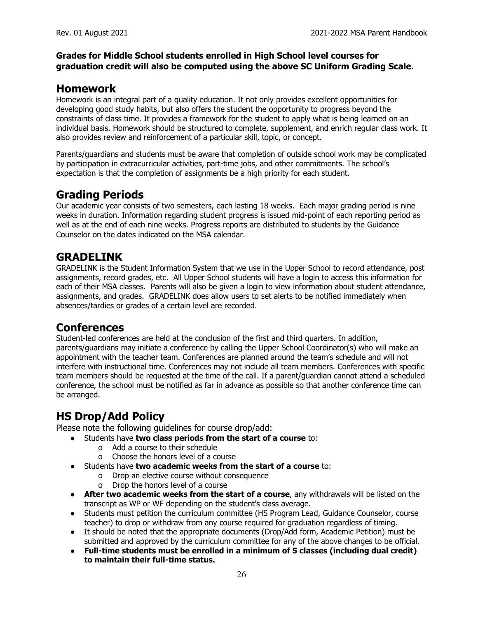#### **Grades for Middle School students enrolled in High School level courses for graduation credit will also be computed using the above SC Uniform Grading Scale.**

#### **Homework**

Homework is an integral part of a quality education. It not only provides excellent opportunities for developing good study habits, but also offers the student the opportunity to progress beyond the constraints of class time. It provides a framework for the student to apply what is being learned on an individual basis. Homework should be structured to complete, supplement, and enrich regular class work. It also provides review and reinforcement of a particular skill, topic, or concept.

Parents/guardians and students must be aware that completion of outside school work may be complicated by participation in extracurricular activities, part-time jobs, and other commitments. The school's expectation is that the completion of assignments be a high priority for each student.

#### **Grading Periods**

Our academic year consists of two semesters, each lasting 18 weeks. Each major grading period is nine weeks in duration. Information regarding student progress is issued mid-point of each reporting period as well as at the end of each nine weeks. Progress reports are distributed to students by the Guidance Counselor on the dates indicated on the MSA calendar.

#### **GRADELINK**

GRADELINK is the Student Information System that we use in the Upper School to record attendance, post assignments, record grades, etc. All Upper School students will have a login to access this information for each of their MSA classes. Parents will also be given a login to view information about student attendance, assignments, and grades. GRADELINK does allow users to set alerts to be notified immediately when absences/tardies or grades of a certain level are recorded.

#### **Conferences**

Student-led conferences are held at the conclusion of the first and third quarters. In addition, parents/guardians may initiate a conference by calling the Upper School Coordinator(s) who will make an appointment with the teacher team. Conferences are planned around the team's schedule and will not interfere with instructional time. Conferences may not include all team members. Conferences with specific team members should be requested at the time of the call. If a parent/guardian cannot attend a scheduled conference, the school must be notified as far in advance as possible so that another conference time can be arranged.

## **HS Drop/Add Policy**

Please note the following guidelines for course drop/add:

- Students have **two class periods from the start of a course** to:
	- o Add a course to their schedule
	- o Choose the honors level of a course
- Students have **two academic weeks from the start of a course** to:
	- o Drop an elective course without consequence
	- o Drop the honors level of a course
- **After two academic weeks from the start of a course**, any withdrawals will be listed on the transcript as WP or WF depending on the student's class average.
- Students must petition the curriculum committee (HS Program Lead, Guidance Counselor, course teacher) to drop or withdraw from any course required for graduation regardless of timing.
- It should be noted that the appropriate documents (Drop/Add form, Academic Petition) must be submitted and approved by the curriculum committee for any of the above changes to be official.
- **Full-time students must be enrolled in a minimum of 5 classes (including dual credit) to maintain their full-time status.**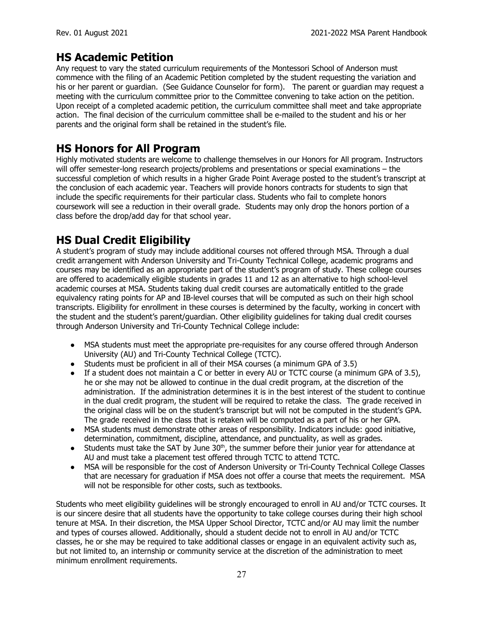## **HS Academic Petition**

Any request to vary the stated curriculum requirements of the Montessori School of Anderson must commence with the filing of an Academic Petition completed by the student requesting the variation and his or her parent or guardian. (See Guidance Counselor for form). The parent or guardian may request a meeting with the curriculum committee prior to the Committee convening to take action on the petition. Upon receipt of a completed academic petition, the curriculum committee shall meet and take appropriate action. The final decision of the curriculum committee shall be e-mailed to the student and his or her parents and the original form shall be retained in the student's file.

#### **HS Honors for All Program**

Highly motivated students are welcome to challenge themselves in our Honors for All program. Instructors will offer semester-long research projects/problems and presentations or special examinations – the successful completion of which results in a higher Grade Point Average posted to the student's transcript at the conclusion of each academic year. Teachers will provide honors contracts for students to sign that include the specific requirements for their particular class. Students who fail to complete honors coursework will see a reduction in their overall grade. Students may only drop the honors portion of a class before the drop/add day for that school year.

## **HS Dual Credit Eligibility**

A student's program of study may include additional courses not offered through MSA. Through a dual credit arrangement with Anderson University and Tri-County Technical College, academic programs and courses may be identified as an appropriate part of the student's program of study. These college courses are offered to academically eligible students in grades 11 and 12 as an alternative to high school-level academic courses at MSA. Students taking dual credit courses are automatically entitled to the grade equivalency rating points for AP and IB-level courses that will be computed as such on their high school transcripts. Eligibility for enrollment in these courses is determined by the faculty, working in concert with the student and the student's parent/guardian. Other eligibility guidelines for taking dual credit courses through Anderson University and Tri-County Technical College include:

- MSA students must meet the appropriate pre-requisites for any course offered through Anderson University (AU) and Tri-County Technical College (TCTC).
- Students must be proficient in all of their MSA courses (a minimum GPA of 3.5)
- If a student does not maintain a C or better in every AU or TCTC course (a minimum GPA of 3.5), he or she may not be allowed to continue in the dual credit program, at the discretion of the administration. If the administration determines it is in the best interest of the student to continue in the dual credit program, the student will be required to retake the class. The grade received in the original class will be on the student's transcript but will not be computed in the student's GPA. The grade received in the class that is retaken will be computed as a part of his or her GPA.
- MSA students must demonstrate other areas of responsibility. Indicators include: good initiative, determination, commitment, discipline, attendance, and punctuality, as well as grades.
- Students must take the SAT by June  $30<sup>th</sup>$ , the summer before their junior year for attendance at AU and must take a placement test offered through TCTC to attend TCTC.
- MSA will be responsible for the cost of Anderson University or Tri-County Technical College Classes that are necessary for graduation if MSA does not offer a course that meets the requirement. MSA will not be responsible for other costs, such as textbooks.

Students who meet eligibility guidelines will be strongly encouraged to enroll in AU and/or TCTC courses. It is our sincere desire that all students have the opportunity to take college courses during their high school tenure at MSA. In their discretion, the MSA Upper School Director, TCTC and/or AU may limit the number and types of courses allowed. Additionally, should a student decide not to enroll in AU and/or TCTC classes, he or she may be required to take additional classes or engage in an equivalent activity such as, but not limited to, an internship or community service at the discretion of the administration to meet minimum enrollment requirements.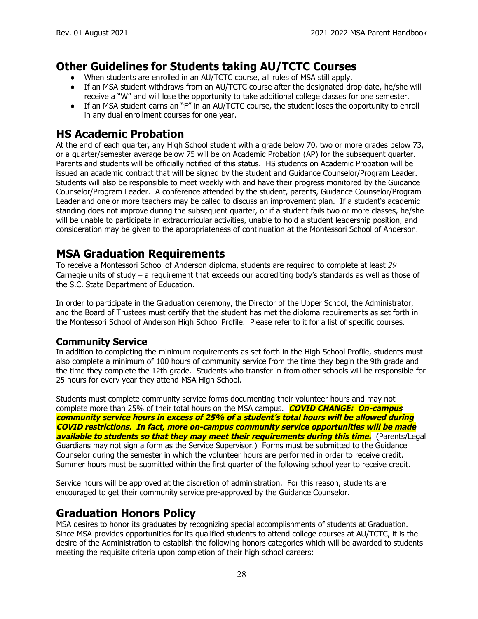#### **Other Guidelines for Students taking AU/TCTC Courses**

- When students are enrolled in an AU/TCTC course, all rules of MSA still apply.
- If an MSA student withdraws from an AU/TCTC course after the designated drop date, he/she will receive a "W" and will lose the opportunity to take additional college classes for one semester.
- If an MSA student earns an "F" in an AU/TCTC course, the student loses the opportunity to enroll in any dual enrollment courses for one year.

#### **HS Academic Probation**

At the end of each quarter, any High School student with a grade below 70, two or more grades below 73, or a quarter/semester average below 75 will be on Academic Probation (AP) for the subsequent quarter. Parents and students will be officially notified of this status. HS students on Academic Probation will be issued an academic contract that will be signed by the student and Guidance Counselor/Program Leader. Students will also be responsible to meet weekly with and have their progress monitored by the Guidance Counselor/Program Leader. A conference attended by the student, parents, Guidance Counselor/Program Leader and one or more teachers may be called to discuss an improvement plan. If a student's academic standing does not improve during the subsequent quarter, or if a student fails two or more classes, he/she will be unable to participate in extracurricular activities, unable to hold a student leadership position, and consideration may be given to the appropriateness of continuation at the Montessori School of Anderson.

#### **MSA Graduation Requirements**

To receive a Montessori School of Anderson diploma, students are required to complete at least *29* Carnegie units of study – a requirement that exceeds our accrediting body's standards as well as those of the S.C. State Department of Education.

In order to participate in the Graduation ceremony, the Director of the Upper School, the Administrator, and the Board of Trustees must certify that the student has met the diploma requirements as set forth in the Montessori School of Anderson High School Profile. Please refer to it for a list of specific courses.

#### **Community Service**

In addition to completing the minimum requirements as set forth in the High School Profile, students must also complete a minimum of 100 hours of community service from the time they begin the 9th grade and the time they complete the 12th grade. Students who transfer in from other schools will be responsible for 25 hours for every year they attend MSA High School.

Students must complete community service forms documenting their volunteer hours and may not complete more than 25% of their total hours on the MSA campus. **COVID CHANGE: On-campus community service hours in excess of 25% of <sup>a</sup> student's total hours will be allowed during COVID restrictions. In fact, more on-campus community service opportunities will be made available to students so that they may meet their requirements during this time.** (Parents/Legal Guardians may not sign a form as the Service Supervisor.) Forms must be submitted to the Guidance Counselor during the semester in which the volunteer hours are performed in order to receive credit. Summer hours must be submitted within the first quarter of the following school year to receive credit.

Service hours will be approved at the discretion of administration. For this reason, students are encouraged to get their community service pre-approved by the Guidance Counselor.

#### **Graduation Honors Policy**

MSA desires to honor its graduates by recognizing special accomplishments of students at Graduation. Since MSA provides opportunities for its qualified students to attend college courses at AU/TCTC, it is the desire of the Administration to establish the following honors categories which will be awarded to students meeting the requisite criteria upon completion of their high school careers: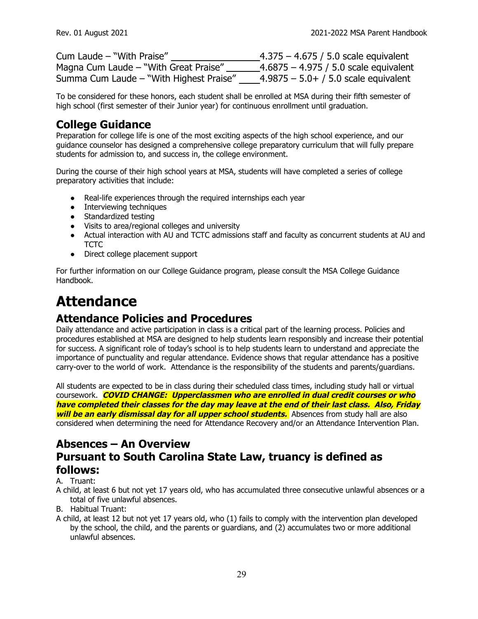| Cum Laude - "With Praise"               | 4.375 – 4.675 / 5.0 scale equivalent    |
|-----------------------------------------|-----------------------------------------|
| Magna Cum Laude – "With Great Praise"   | _4.6875 – 4.975 / 5.0 scale equivalent  |
| Summa Cum Laude - "With Highest Praise" | $4.9875 - 5.0 + / 5.0$ scale equivalent |

To be considered for these honors, each student shall be enrolled at MSA during their fifth semester of high school (first semester of their Junior year) for continuous enrollment until graduation.

## **College Guidance**

Preparation for college life is one of the most exciting aspects of the high school experience, and our guidance counselor has designed a comprehensive college preparatory curriculum that will fully prepare students for admission to, and success in, the college environment.

During the course of their high school years at MSA, students will have completed a series of college preparatory activities that include:

- Real-life experiences through the required internships each year
- Interviewing techniques
- Standardized testing
- Visits to area/regional colleges and university
- Actual interaction with AU and TCTC admissions staff and faculty as concurrent students at AU and **TCTC**
- Direct college placement support

For further information on our College Guidance program, please consult the MSA College Guidance Handbook.

## **Attendance**

## **Attendance Policies and Procedures**

Daily attendance and active participation in class is a critical part of the learning process. Policies and procedures established at MSA are designed to help students learn responsibly and increase their potential for success. A significant role of today's school is to help students learn to understand and appreciate the importance of punctuality and regular attendance. Evidence shows that regular attendance has a positive carry-over to the world of work. Attendance is the responsibility of the students and parents/guardians.

All students are expected to be in class during their scheduled class times, including study hall or virtual coursework. **COVID CHANGE: Upperclassmen who are enrolled in dual credit courses or who have completed their classes for the day may leave at the end of their last class. Also, Friday will be an early dismissal day for all upper school students.** Absences from study hall are also considered when determining the need for Attendance Recovery and/or an Attendance Intervention Plan.

#### **Absences – An Overview Pursuant to South Carolina State Law, truancy is defined as follows:**

#### A. Truant:

A child, at least 6 but not yet 17 years old, who has accumulated three consecutive unlawful absences or a total of five unlawful absences.

- B. Habitual Truant:
- A child, at least 12 but not yet 17 years old, who (1) fails to comply with the intervention plan developed by the school, the child, and the parents or guardians, and (2) accumulates two or more additional unlawful absences.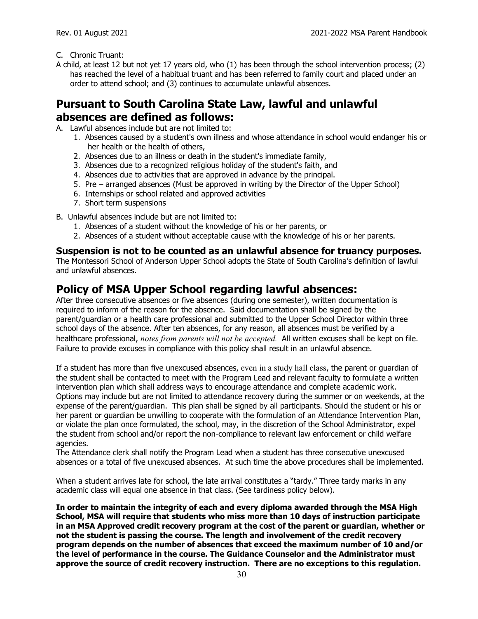- C. Chronic Truant:
- A child, at least 12 but not yet 17 years old, who (1) has been through the school intervention process; (2) has reached the level of a habitual truant and has been referred to family court and placed under an order to attend school; and (3) continues to accumulate unlawful absences.

## **Pursuant to South Carolina State Law, lawful and unlawful absences are defined as follows:**

- A. Lawful absences include but are not limited to:
	- 1. Absences caused by a student's own illness and whose attendance in school would endanger his or her health or the health of others,
	- 2. Absences due to an illness or death in the student's immediate family,
	- 3. Absences due to a recognized religious holiday of the student's faith, and
	- 4. Absences due to activities that are approved in advance by the principal.
	- 5. Pre arranged absences (Must be approved in writing by the Director of the Upper School)
	- 6. Internships or school related and approved activities
	- 7. Short term suspensions
- B. Unlawful absences include but are not limited to:
	- 1. Absences of a student without the knowledge of his or her parents, or
	- 2. Absences of a student without acceptable cause with the knowledge of his or her parents.

#### **Suspension is not to be counted as an unlawful absence for truancy purposes.**

The Montessori School of Anderson Upper School adopts the State of South Carolina's definition of lawful and unlawful absences.

## **Policy of MSA Upper School regarding lawful absences:**

After three consecutive absences or five absences (during one semester), written documentation is required to inform of the reason for the absence. Said documentation shall be signed by the parent/guardian or a health care professional and submitted to the Upper School Director within three school days of the absence. After ten absences, for any reason, all absences must be verified by a healthcare professional, *notes from parents will not be accepted.* All written excuses shall be kept on file. Failure to provide excuses in compliance with this policy shall result in an unlawful absence.

If a student has more than five unexcused absences, even in a study hall class, the parent or guardian of the student shall be contacted to meet with the Program Lead and relevant faculty to formulate a written intervention plan which shall address ways to encourage attendance and complete academic work. Options may include but are not limited to attendance recovery during the summer or on weekends, at the expense of the parent/guardian. This plan shall be signed by all participants. Should the student or his or her parent or guardian be unwilling to cooperate with the formulation of an Attendance Intervention Plan, or violate the plan once formulated, the school, may, in the discretion of the School Administrator, expel the student from school and/or report the non-compliance to relevant law enforcement or child welfare agencies.

The Attendance clerk shall notify the Program Lead when a student has three consecutive unexcused absences or a total of five unexcused absences. At such time the above procedures shall be implemented.

When a student arrives late for school, the late arrival constitutes a "tardy." Three tardy marks in any academic class will equal one absence in that class. (See tardiness policy below).

**In order to maintain the integrity of each and every diploma awarded through the MSA High School, MSA will require that students who miss more than 10 days of instruction participate in an MSA Approved credit recovery program at the cost of the parent or guardian, whether or not the student is passing the course. The length and involvement of the credit recovery program depends on the number of absences that exceed the maximum number of 10 and/or the level of performance in the course. The Guidance Counselor and the Administrator must approve the source of credit recovery instruction. There are no exceptions to this regulation.**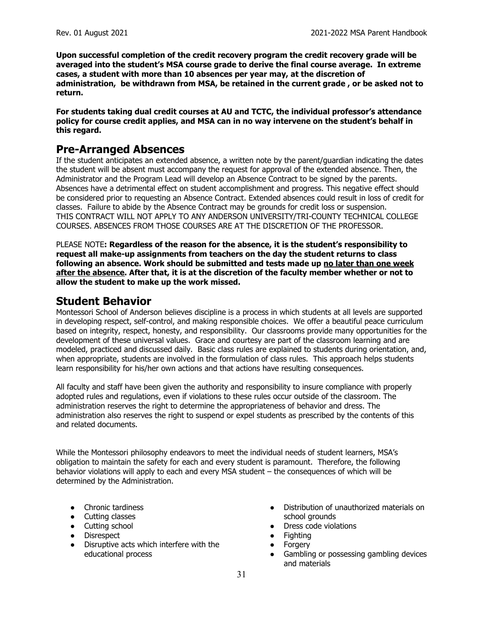**Upon successful completion of the credit recovery program the credit recovery grade will be averaged into the student's MSA course grade to derive the final course average. In extreme cases, a student with more than 10 absences per year may, at the discretion of administration, be withdrawn from MSA, be retained in the current grade , or be asked not to return.**

**For students taking dual credit courses at AU and TCTC, the individual professor's attendance policy for course credit applies, and MSA can in no way intervene on the student's behalf in this regard.**

#### **Pre-Arranged Absences**

If the student anticipates an extended absence, a written note by the parent/guardian indicating the dates the student will be absent must accompany the request for approval of the extended absence. Then, the Administrator and the Program Lead will develop an Absence Contract to be signed by the parents. Absences have a detrimental effect on student accomplishment and progress. This negative effect should be considered prior to requesting an Absence Contract. Extended absences could result in loss of credit for classes. Failure to abide by the Absence Contract may be grounds for credit loss or suspension. THIS CONTRACT WILL NOT APPLY TO ANY ANDERSON UNIVERSITY/TRI-COUNTY TECHNICAL COLLEGE COURSES. ABSENCES FROM THOSE COURSES ARE AT THE DISCRETION OF THE PROFESSOR.

PLEASE NOTE**: Regardless of the reason for the absence, it is the student's responsibility to request all make-up assignments from teachers on the day the student returns to class following an absence. Work should be submitted and tests made up no later than one week after the absence. After that, it is at the discretion of the faculty member whether or not to allow the student to make up the work missed.**

#### **Student Behavior**

Montessori School of Anderson believes discipline is a process in which students at all levels are supported in developing respect, self-control, and making responsible choices. We offer a beautiful peace curriculum based on integrity, respect, honesty, and responsibility. Our classrooms provide many opportunities for the development of these universal values. Grace and courtesy are part of the classroom learning and are modeled, practiced and discussed daily. Basic class rules are explained to students during orientation, and, when appropriate, students are involved in the formulation of class rules. This approach helps students learn responsibility for his/her own actions and that actions have resulting consequences.

All faculty and staff have been given the authority and responsibility to insure compliance with properly adopted rules and regulations, even if violations to these rules occur outside of the classroom. The administration reserves the right to determine the appropriateness of behavior and dress. The administration also reserves the right to suspend or expel students as prescribed by the contents of this and related documents.

While the Montessori philosophy endeavors to meet the individual needs of student learners, MSA's obligation to maintain the safety for each and every student is paramount. Therefore, the following behavior violations will apply to each and every MSA student – the consequences of which will be determined by the Administration.

- Chronic tardiness
- Cutting classes
- Cutting school
- Disrespect
- Disruptive acts which interfere with the educational process
- Distribution of unauthorized materials on school grounds
- Dress code violations
- **Fighting**
- Forgery
- Gambling or possessing gambling devices and materials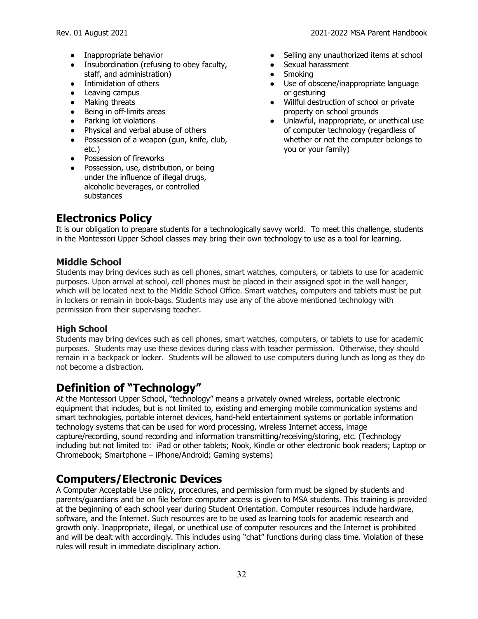- Inappropriate behavior
- Insubordination (refusing to obey faculty, staff, and administration)
- Intimidation of others
- Leaving campus
- Making threats
- Being in off-limits areas
- Parking lot violations
- Physical and verbal abuse of others
- Possession of a weapon (gun, knife, club, etc.)
- Possession of fireworks
- Possession, use, distribution, or being under the influence of illegal drugs, alcoholic beverages, or controlled substances
- Selling any unauthorized items at school
- Sexual harassment
- **Smoking**
- Use of obscene/inappropriate language or gesturing
- Willful destruction of school or private property on school grounds
- Unlawful, inappropriate, or unethical use of computer technology (regardless of whether or not the computer belongs to you or your family)

## **Electronics Policy**

It is our obligation to prepare students for a technologically savvy world. To meet this challenge, students in the Montessori Upper School classes may bring their own technology to use as a tool for learning.

#### **Middle School**

Students may bring devices such as cell phones, smart watches, computers, or tablets to use for academic purposes. Upon arrival at school, cell phones must be placed in their assigned spot in the wall hanger, which will be located next to the Middle School Office. Smart watches, computers and tablets must be put in lockers or remain in book-bags. Students may use any of the above mentioned technology with permission from their supervising teacher.

#### **High School**

Students may bring devices such as cell phones, smart watches, computers, or tablets to use for academic purposes. Students may use these devices during class with teacher permission. Otherwise, they should remain in a backpack or locker. Students will be allowed to use computers during lunch as long as they do not become a distraction.

## **Definition of "Technology"**

At the Montessori Upper School, "technology" means a privately owned wireless, portable electronic equipment that includes, but is not limited to, existing and emerging mobile communication systems and smart technologies, portable internet devices, hand-held entertainment systems or portable information technology systems that can be used for word processing, wireless Internet access, image capture/recording, sound recording and information transmitting/receiving/storing, etc. (Technology including but not limited to: iPad or other tablets; Nook, Kindle or other electronic book readers; Laptop or Chromebook; Smartphone – iPhone/Android; Gaming systems)

## **Computers/Electronic Devices**

A Computer Acceptable Use policy, procedures, and permission form must be signed by students and parents/guardians and be on file before computer access is given to MSA students. This training is provided at the beginning of each school year during Student Orientation. Computer resources include hardware, software, and the Internet. Such resources are to be used as learning tools for academic research and growth only. Inappropriate, illegal, or unethical use of computer resources and the Internet is prohibited and will be dealt with accordingly. This includes using "chat" functions during class time. Violation of these rules will result in immediate disciplinary action.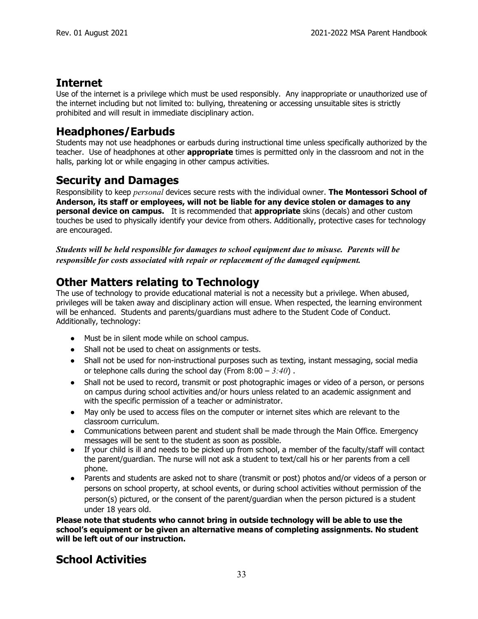#### **Internet**

Use of the internet is a privilege which must be used responsibly. Any inappropriate or unauthorized use of the internet including but not limited to: bullying, threatening or accessing unsuitable sites is strictly prohibited and will result in immediate disciplinary action.

#### **Headphones/Earbuds**

Students may not use headphones or earbuds during instructional time unless specifically authorized by the teacher. Use of headphones at other **appropriate** times is permitted only in the classroom and not in the halls, parking lot or while engaging in other campus activities.

#### **Security and Damages**

Responsibility to keep *personal* devices secure rests with the individual owner. **The Montessori School of Anderson, its staff or employees, will not be liable for any device stolen or damages to any personal device on campus.** It is recommended that **appropriate** skins (decals) and other custom touches be used to physically identify your device from others. Additionally, protective cases for technology are encouraged.

*Students will be held responsible for damages to school equipment due to misuse. Parents will be responsible for costs associated with repair or replacement of the damaged equipment.*

## **Other Matters relating to Technology**

The use of technology to provide educational material is not a necessity but a privilege. When abused, privileges will be taken away and disciplinary action will ensue. When respected, the learning environment will be enhanced. Students and parents/guardians must adhere to the Student Code of Conduct. Additionally, technology:

- Must be in silent mode while on school campus.
- Shall not be used to cheat on assignments or tests.
- Shall not be used for non-instructional purposes such as texting, instant messaging, social media or telephone calls during the school day (From 8:00 – *3:40*) .
- Shall not be used to record, transmit or post photographic images or video of a person, or persons on campus during school activities and/or hours unless related to an academic assignment and with the specific permission of a teacher or administrator.
- May only be used to access files on the computer or internet sites which are relevant to the classroom curriculum.
- Communications between parent and student shall be made through the Main Office. Emergency messages will be sent to the student as soon as possible.
- If your child is ill and needs to be picked up from school, a member of the faculty/staff will contact the parent/guardian. The nurse will not ask a student to text/call his or her parents from a cell phone.
- Parents and students are asked not to share (transmit or post) photos and/or videos of a person or persons on school property, at school events, or during school activities without permission of the person(s) pictured, or the consent of the parent/guardian when the person pictured is a student under 18 years old.

**Please note that students who cannot bring in outside technology will be able to use the school's equipment or be given an alternative means of completing assignments. No student will be left out of our instruction.**

## **School Activities**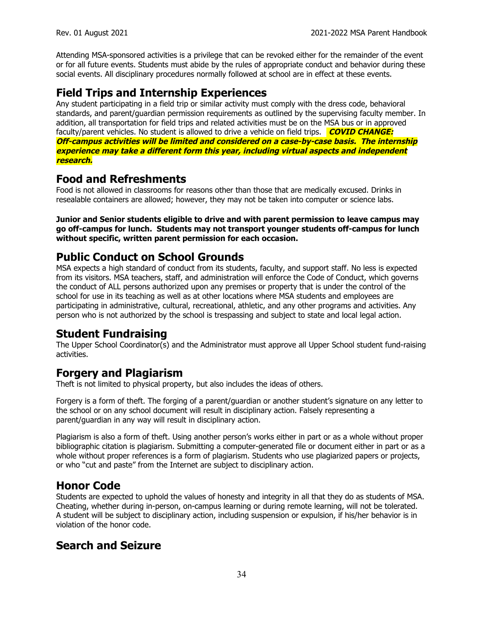Attending MSA-sponsored activities is a privilege that can be revoked either for the remainder of the event or for all future events. Students must abide by the rules of appropriate conduct and behavior during these social events. All disciplinary procedures normally followed at school are in effect at these events.

#### **Field Trips and Internship Experiences**

Any student participating in a field trip or similar activity must comply with the dress code, behavioral standards, and parent/guardian permission requirements as outlined by the supervising faculty member. In addition, all transportation for field trips and related activities must be on the MSA bus or in approved faculty/parent vehicles. No student is allowed to drive a vehicle on field trips. **COVID CHANGE: Off-campus activities will be limited and considered on <sup>a</sup> case-by-case basis. The internship experience may take <sup>a</sup> different form this year, including virtual aspects and independent research.**

#### **Food and Refreshments**

Food is not allowed in classrooms for reasons other than those that are medically excused. Drinks in resealable containers are allowed; however, they may not be taken into computer or science labs.

**Junior and Senior students eligible to drive and with parent permission to leave campus may go off-campus for lunch. Students may not transport younger students off-campus for lunch without specific, written parent permission for each occasion.**

#### **Public Conduct on School Grounds**

MSA expects a high standard of conduct from its students, faculty, and support staff. No less is expected from its visitors. MSA teachers, staff, and administration will enforce the Code of Conduct, which governs the conduct of ALL persons authorized upon any premises or property that is under the control of the school for use in its teaching as well as at other locations where MSA students and employees are participating in administrative, cultural, recreational, athletic, and any other programs and activities. Any person who is not authorized by the school is trespassing and subject to state and local legal action.

#### **Student Fundraising**

The Upper School Coordinator(s) and the Administrator must approve all Upper School student fund-raising activities.

#### **Forgery and Plagiarism**

Theft is not limited to physical property, but also includes the ideas of others.

Forgery is a form of theft. The forging of a parent/guardian or another student's signature on any letter to the school or on any school document will result in disciplinary action. Falsely representing a parent/guardian in any way will result in disciplinary action.

Plagiarism is also a form of theft. Using another person's works either in part or as a whole without proper bibliographic citation is plagiarism. Submitting a computer-generated file or document either in part or as a whole without proper references is a form of plagiarism. Students who use plagiarized papers or projects, or who "cut and paste" from the Internet are subject to disciplinary action.

#### **Honor Code**

Students are expected to uphold the values of honesty and integrity in all that they do as students of MSA. Cheating, whether during in-person, on-campus learning or during remote learning, will not be tolerated. A student will be subject to disciplinary action, including suspension or expulsion, if his/her behavior is in violation of the honor code.

## **Search and Seizure**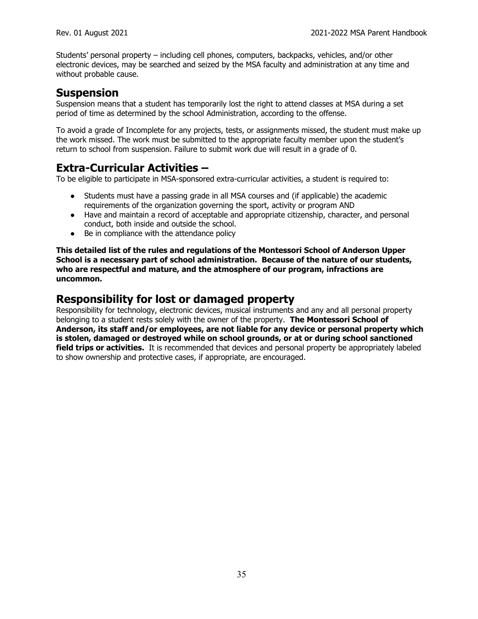Students' personal property – including cell phones, computers, backpacks, vehicles, and/or other electronic devices, may be searched and seized by the MSA faculty and administration at any time and without probable cause.

#### **Suspension**

Suspension means that a student has temporarily lost the right to attend classes at MSA during a set period of time as determined by the school Administration, according to the offense.

To avoid a grade of Incomplete for any projects, tests, or assignments missed, the student must make up the work missed. The work must be submitted to the appropriate faculty member upon the student's return to school from suspension. Failure to submit work due will result in a grade of 0.

#### **Extra-Curricular Activities –**

To be eligible to participate in MSA-sponsored extra-curricular activities, a student is required to:

- Students must have a passing grade in all MSA courses and (if applicable) the academic requirements of the organization governing the sport, activity or program AND
- Have and maintain a record of acceptable and appropriate citizenship, character, and personal conduct, both inside and outside the school.
- Be in compliance with the attendance policy

**This detailed list of the rules and regulations of the Montessori School of Anderson Upper School is a necessary part of school administration. Because of the nature of our students, who are respectful and mature, and the atmosphere of our program, infractions are uncommon.**

#### **Responsibility for lost or damaged property**

Responsibility for technology, electronic devices, musical instruments and any and all personal property belonging to a student rests solely with the owner of the property. **The Montessori School of Anderson, its staff and/or employees, are not liable for any device or personal property which is stolen, damaged or destroyed while on school grounds, or at or during school sanctioned field trips or activities.** It is recommended that devices and personal property be appropriately labeled to show ownership and protective cases, if appropriate, are encouraged.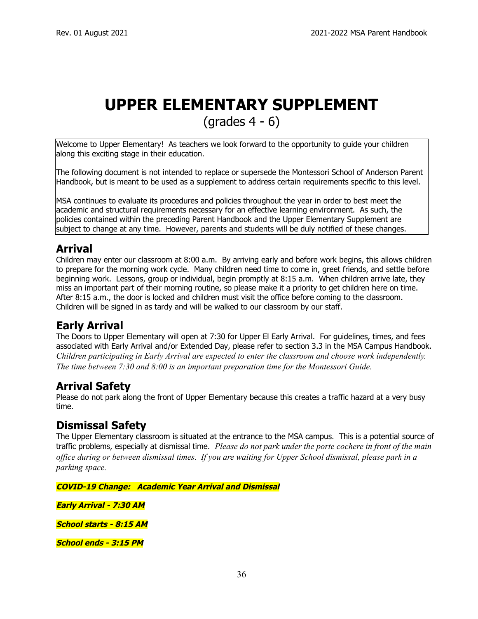## **UPPER ELEMENTARY SUPPLEMENT**

(grades 4 - 6)

Welcome to Upper Elementary! As teachers we look forward to the opportunity to guide your children along this exciting stage in their education.

The following document is not intended to replace or supersede the Montessori School of Anderson Parent Handbook, but is meant to be used as a supplement to address certain requirements specific to this level.

MSA continues to evaluate its procedures and policies throughout the year in order to best meet the academic and structural requirements necessary for an effective learning environment. As such, the policies contained within the preceding Parent Handbook and the Upper Elementary Supplement are subject to change at any time. However, parents and students will be duly notified of these changes.

## **Arrival**

Children may enter our classroom at 8:00 a.m. By arriving early and before work begins, this allows children to prepare for the morning work cycle. Many children need time to come in, greet friends, and settle before beginning work. Lessons, group or individual, begin promptly at 8:15 a.m. When children arrive late, they miss an important part of their morning routine, so please make it a priority to get children here on time. After 8:15 a.m., the door is locked and children must visit the office before coming to the classroom. Children will be signed in as tardy and will be walked to our classroom by our staff.

## **Early Arrival**

The Doors to Upper Elementary will open at 7:30 for Upper El Early Arrival. For guidelines, times, and fees associated with Early Arrival and/or Extended Day, please refer to section 3.3 in the MSA Campus Handbook. *Children participating in Early Arrival are expected to enter the classroom and choose work independently. The time between 7:30 and 8:00 is an important preparation time for the Montessori Guide.*

## **Arrival Safety**

Please do not park along the front of Upper Elementary because this creates a traffic hazard at a very busy time.

#### **Dismissal Safety**

The Upper Elementary classroom is situated at the entrance to the MSA campus. This is a potential source of traffic problems, especially at dismissal time. *Please do not park under the porte cochere in front of the main* office during or between dismissal times. If you are waiting for Upper School dismissal, please park in a *parking space.*

**COVID-19 Change: Academic Year Arrival and Dismissal**

**Early Arrival - 7:30 AM**

**School starts - 8:15 AM**

**School ends - 3:15 PM**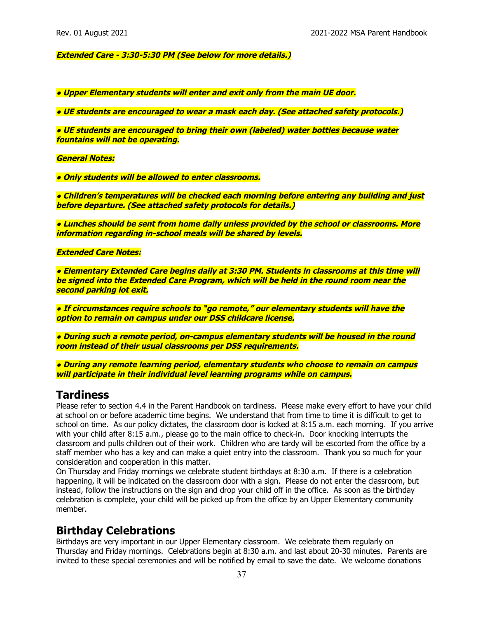**Extended Care - 3:30-5:30 PM (See below for more details.)**

**● Upper Elementary students will enter and exit only from the main UE door.**

**● UE students are encouraged to wear <sup>a</sup> mask each day. (See attached safety protocols.)**

**● UE students are encouraged to bring their own (labeled) water bottles because water fountains will not be operating.**

**General Notes:**

**● Only students will be allowed to enter classrooms.**

**● Children's temperatures will be checked each morning before entering any building and just before departure. (See attached safety protocols for details.)**

**● Lunches should be sent from home daily unless provided by the school or classrooms. More information regarding in-school meals will be shared by levels.**

**Extended Care Notes:**

**● Elementary Extended Care begins daily at 3:30 PM. Students in classrooms at this time will be signed into the Extended Care Program, which will be held in the round room near the second parking lot exit.**

**● If circumstances require schools to "go remote," our elementary students will have the option to remain on campus under our DSS childcare license.**

**● During such <sup>a</sup> remote period, on-campus elementary students will be housed in the round room instead of their usual classrooms per DSS requirements.**

**● During any remote learning period, elementary students who choose to remain on campus will participate in their individual level learning programs while on campus.**

#### **Tardiness**

Please refer to section 4.4 in the Parent Handbook on tardiness. Please make every effort to have your child at school on or before academic time begins. We understand that from time to time it is difficult to get to school on time. As our policy dictates, the classroom door is locked at 8:15 a.m. each morning. If you arrive with your child after 8:15 a.m., please go to the main office to check-in. Door knocking interrupts the classroom and pulls children out of their work. Children who are tardy will be escorted from the office by a staff member who has a key and can make a quiet entry into the classroom. Thank you so much for your consideration and cooperation in this matter.

On Thursday and Friday mornings we celebrate student birthdays at 8:30 a.m. If there is a celebration happening, it will be indicated on the classroom door with a sign. Please do not enter the classroom, but instead, follow the instructions on the sign and drop your child off in the office. As soon as the birthday celebration is complete, your child will be picked up from the office by an Upper Elementary community member.

#### **Birthday Celebrations**

Birthdays are very important in our Upper Elementary classroom. We celebrate them regularly on Thursday and Friday mornings. Celebrations begin at 8:30 a.m. and last about 20-30 minutes. Parents are invited to these special ceremonies and will be notified by email to save the date. We welcome donations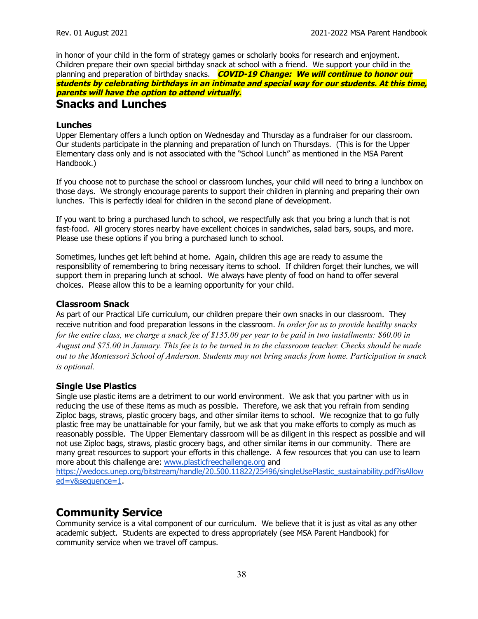in honor of your child in the form of strategy games or scholarly books for research and enjoyment. Children prepare their own special birthday snack at school with a friend. We support your child in the planning and preparation of birthday snacks. **COVID-19 Change: We will continue to honor our students by celebrating birthdays in an intimate and special way for our students. At this time, parents will have the option to attend virtually. Snacks and Lunches**

#### **Lunches**

Upper Elementary offers a lunch option on Wednesday and Thursday as a fundraiser for our classroom. Our students participate in the planning and preparation of lunch on Thursdays. (This is for the Upper Elementary class only and is not associated with the "School Lunch" as mentioned in the MSA Parent Handbook.)

If you choose not to purchase the school or classroom lunches, your child will need to bring a lunchbox on those days. We strongly encourage parents to support their children in planning and preparing their own lunches. This is perfectly ideal for children in the second plane of development.

If you want to bring a purchased lunch to school, we respectfully ask that you bring a lunch that is not fast-food. All grocery stores nearby have excellent choices in sandwiches, salad bars, soups, and more. Please use these options if you bring a purchased lunch to school.

Sometimes, lunches get left behind at home. Again, children this age are ready to assume the responsibility of remembering to bring necessary items to school. If children forget their lunches, we will support them in preparing lunch at school. We always have plenty of food on hand to offer several choices. Please allow this to be a learning opportunity for your child.

#### **Classroom Snack**

As part of our Practical Life curriculum, our children prepare their own snacks in our classroom. They receive nutrition and food preparation lessons in the classroom. *In order for us to provide healthy snacks* for the entire class, we charge a snack fee of \$135.00 per year to be paid in two installments: \$60.00 in August and \$75.00 in January. This fee is to be turned in to the classroom teacher. Checks should be made *out to the Montessori School of Anderson. Students may not bring snacks from home. Participation in snack is optional.*

#### **Single Use Plastics**

Single use plastic items are a detriment to our world environment. We ask that you partner with us in reducing the use of these items as much as possible. Therefore, we ask that you refrain from sending Ziploc bags, straws, plastic grocery bags, and other similar items to school. We recognize that to go fully plastic free may be unattainable for your family, but we ask that you make efforts to comply as much as reasonably possible. The Upper Elementary classroom will be as diligent in this respect as possible and will not use Ziploc bags, straws, plastic grocery bags, and other similar items in our community. There are many great resources to support your efforts in this challenge. A few resources that you can use to learn more about this challenge are: [www.plasticfreechallenge.org](http://www.plasticfreechallenge.org) and [https://wedocs.unep.org/bitstream/handle/20.500.11822/25496/singleUsePlastic\\_sustainability.pdf?isAllow](https://wedocs.unep.org/bitstream/handle/20.500.11822/25496/singleUsePlastic_sustainability.pdf?isAllowed=y&sequence=1)

[ed=y&sequence=1](https://wedocs.unep.org/bitstream/handle/20.500.11822/25496/singleUsePlastic_sustainability.pdf?isAllowed=y&sequence=1).

#### **Community Service**

Community service is a vital component of our curriculum. We believe that it is just as vital as any other academic subject. Students are expected to dress appropriately (see MSA Parent Handbook) for community service when we travel off campus.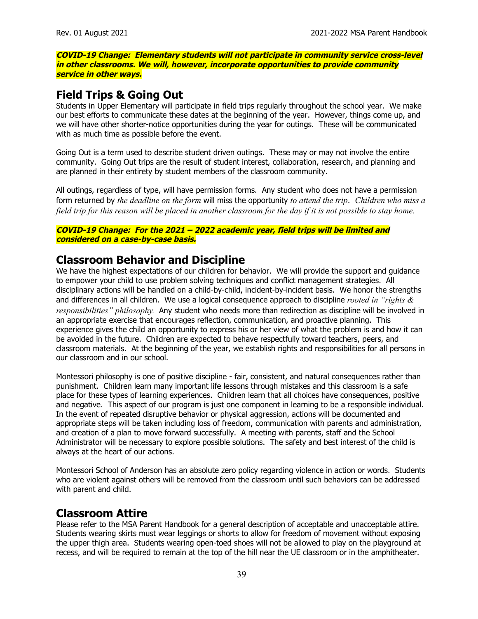**COVID-19 Change: Elementary students will not participate in community service cross-level in other classrooms. We will, however, incorporate opportunities to provide community service in other ways.**

#### **Field Trips & Going Out**

Students in Upper Elementary will participate in field trips regularly throughout the school year. We make our best efforts to communicate these dates at the beginning of the year. However, things come up, and we will have other shorter-notice opportunities during the year for outings. These will be communicated with as much time as possible before the event.

Going Out is a term used to describe student driven outings. These may or may not involve the entire community. Going Out trips are the result of student interest, collaboration, research, and planning and are planned in their entirety by student members of the classroom community.

All outings, regardless of type, will have permission forms. Any student who does not have a permission form returned by *the deadline on the form* will miss the opportunity *to attend the trip*. *Children who miss a* field trip for this reason will be placed in another classroom for the day if it is not possible to stay home.

#### **COVID-19 Change: For the 2021 – 2022 academic year, field trips will be limited and considered on <sup>a</sup> case-by-case basis.**

#### **Classroom Behavior and Discipline**

We have the highest expectations of our children for behavior. We will provide the support and guidance to empower your child to use problem solving techniques and conflict management strategies. All disciplinary actions will be handled on a child-by-child, incident-by-incident basis. We honor the strengths and differences in all children. We use a logical consequence approach to discipline *rooted in "rights & responsibilities" philosophy.* Any student who needs more than redirection as discipline will be involved in an appropriate exercise that encourages reflection, communication, and proactive planning. This experience gives the child an opportunity to express his or her view of what the problem is and how it can be avoided in the future. Children are expected to behave respectfully toward teachers, peers, and classroom materials. At the beginning of the year, we establish rights and responsibilities for all persons in our classroom and in our school.

Montessori philosophy is one of positive discipline - fair, consistent, and natural consequences rather than punishment. Children learn many important life lessons through mistakes and this classroom is a safe place for these types of learning experiences. Children learn that all choices have consequences, positive and negative. This aspect of our program is just one component in learning to be a responsible individual. In the event of repeated disruptive behavior or physical aggression, actions will be documented and appropriate steps will be taken including loss of freedom, communication with parents and administration, and creation of a plan to move forward successfully. A meeting with parents, staff and the School Administrator will be necessary to explore possible solutions. The safety and best interest of the child is always at the heart of our actions.

Montessori School of Anderson has an absolute zero policy regarding violence in action or words. Students who are violent against others will be removed from the classroom until such behaviors can be addressed with parent and child.

#### **Classroom Attire**

Please refer to the MSA Parent Handbook for a general description of acceptable and unacceptable attire. Students wearing skirts must wear leggings or shorts to allow for freedom of movement without exposing the upper thigh area. Students wearing open-toed shoes will not be allowed to play on the playground at recess, and will be required to remain at the top of the hill near the UE classroom or in the amphitheater.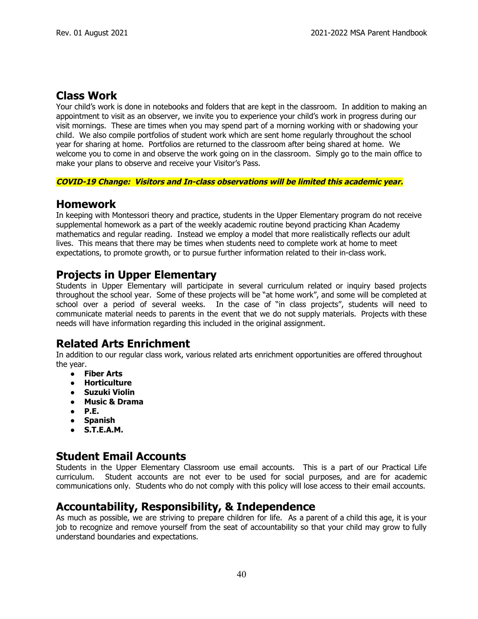#### **Class Work**

Your child's work is done in notebooks and folders that are kept in the classroom. In addition to making an appointment to visit as an observer, we invite you to experience your child's work in progress during our visit mornings. These are times when you may spend part of a morning working with or shadowing your child. We also compile portfolios of student work which are sent home regularly throughout the school year for sharing at home. Portfolios are returned to the classroom after being shared at home. We welcome you to come in and observe the work going on in the classroom. Simply go to the main office to make your plans to observe and receive your Visitor's Pass.

#### **COVID-19 Change: Visitors and In-class observations will be limited this academic year.**

#### **Homework**

In keeping with Montessori theory and practice, students in the Upper Elementary program do not receive supplemental homework as a part of the weekly academic routine beyond practicing Khan Academy mathematics and regular reading. Instead we employ a model that more realistically reflects our adult lives. This means that there may be times when students need to complete work at home to meet expectations, to promote growth, or to pursue further information related to their in-class work.

#### **Projects in Upper Elementary**

Students in Upper Elementary will participate in several curriculum related or inquiry based projects throughout the school year. Some of these projects will be "at home work", and some will be completed at school over a period of several weeks. In the case of "in class projects", students will need to communicate material needs to parents in the event that we do not supply materials. Projects with these needs will have information regarding this included in the original assignment.

## **Related Arts Enrichment**

In addition to our regular class work, various related arts enrichment opportunities are offered throughout the year.

- **Fiber Arts**
- **● Horticulture**
- **● Suzuki Violin**
- **● Music & Drama**
- **● P.E.**
- **Spanish**
- **● S.T.E.A.M.**

#### **Student Email Accounts**

Students in the Upper Elementary Classroom use email accounts. This is a part of our Practical Life curriculum. Student accounts are not ever to be used for social purposes, and are for academic communications only. Students who do not comply with this policy will lose access to their email accounts.

#### **Accountability, Responsibility, & Independence**

As much as possible, we are striving to prepare children for life. As a parent of a child this age, it is your job to recognize and remove yourself from the seat of accountability so that your child may grow to fully understand boundaries and expectations.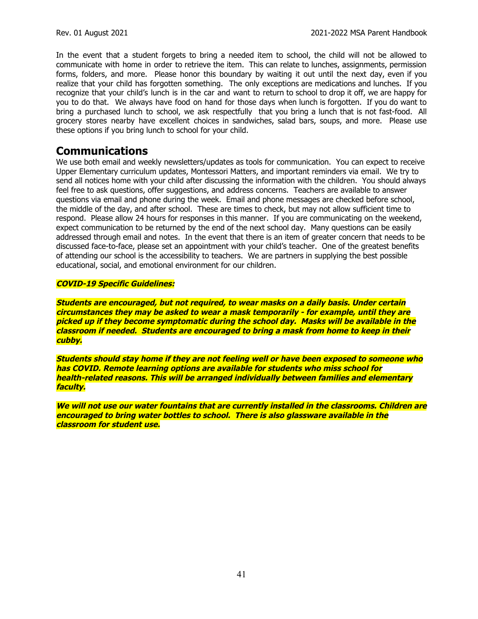In the event that a student forgets to bring a needed item to school, the child will not be allowed to communicate with home in order to retrieve the item. This can relate to lunches, assignments, permission forms, folders, and more. Please honor this boundary by waiting it out until the next day, even if you realize that your child has forgotten something. The only exceptions are medications and lunches. If you recognize that your child's lunch is in the car and want to return to school to drop it off, we are happy for you to do that. We always have food on hand for those days when lunch is forgotten. If you do want to bring a purchased lunch to school, we ask respectfully that you bring a lunch that is not fast-food. All grocery stores nearby have excellent choices in sandwiches, salad bars, soups, and more. Please use these options if you bring lunch to school for your child.

## **Communications**

We use both email and weekly newsletters/updates as tools for communication. You can expect to receive Upper Elementary curriculum updates, Montessori Matters, and important reminders via email. We try to send all notices home with your child after discussing the information with the children. You should always feel free to ask questions, offer suggestions, and address concerns. Teachers are available to answer questions via email and phone during the week. Email and phone messages are checked before school, the middle of the day, and after school. These are times to check, but may not allow sufficient time to respond. Please allow 24 hours for responses in this manner. If you are communicating on the weekend, expect communication to be returned by the end of the next school day. Many questions can be easily addressed through email and notes. In the event that there is an item of greater concern that needs to be discussed face-to-face, please set an appointment with your child's teacher. One of the greatest benefits of attending our school is the accessibility to teachers. We are partners in supplying the best possible educational, social, and emotional environment for our children.

#### **COVID-19 Specific Guidelines:**

**Students are encouraged, but not required, to wear masks on <sup>a</sup> daily basis. Under certain circumstances they may be asked to wear <sup>a</sup> mask temporarily - for example, until they are picked up if they become symptomatic during the school day. Masks will be available in the classroom if needed. Students are encouraged to bring <sup>a</sup> mask from home to keep in their cubby.**

**Students should stay home if they are not feeling well or have been exposed to someone who has COVID. Remote learning options are available for students who miss school for health-related reasons. This will be arranged individually between families and elementary faculty.**

**We will not use our water fountains that are currently installed in the classrooms. Children are encouraged to bring water bottles to school. There is also glassware available in the classroom for student use.**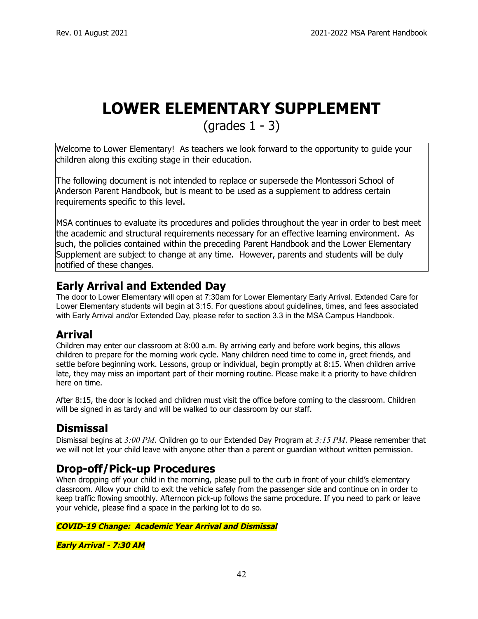## **LOWER ELEMENTARY SUPPLEMENT**

 ${\rm (grades\ 1 - 3)}$ 

Welcome to Lower Elementary! As teachers we look forward to the opportunity to guide your children along this exciting stage in their education.

The following document is not intended to replace or supersede the Montessori School of Anderson Parent Handbook, but is meant to be used as a supplement to address certain requirements specific to this level.

MSA continues to evaluate its procedures and policies throughout the year in order to best meet the academic and structural requirements necessary for an effective learning environment. As such, the policies contained within the preceding Parent Handbook and the Lower Elementary Supplement are subject to change at any time. However, parents and students will be duly notified of these changes.

## **Early Arrival and Extended Day**

The door to Lower Elementary will open at 7:30am for Lower Elementary Early Arrival. Extended Care for Lower Elementary students will begin at 3:15. For questions about guidelines, times, and fees associated with Early Arrival and/or Extended Day, please refer to section 3.3 in the MSA Campus Handbook.

## **Arrival**

Children may enter our classroom at 8:00 a.m. By arriving early and before work begins, this allows children to prepare for the morning work cycle. Many children need time to come in, greet friends, and settle before beginning work. Lessons, group or individual, begin promptly at 8:15. When children arrive late, they may miss an important part of their morning routine. Please make it a priority to have children here on time.

After 8:15, the door is locked and children must visit the office before coming to the classroom. Children will be signed in as tardy and will be walked to our classroom by our staff.

## **Dismissal**

Dismissal begins at *3:00 PM*. Children go to our Extended Day Program at *3:15 PM*. Please remember that we will not let your child leave with anyone other than a parent or guardian without written permission.

## **Drop-off/Pick-up Procedures**

When dropping off your child in the morning, please pull to the curb in front of your child's elementary classroom. Allow your child to exit the vehicle safely from the passenger side and continue on in order to keep traffic flowing smoothly. Afternoon pick-up follows the same procedure. If you need to park or leave your vehicle, please find a space in the parking lot to do so.

**COVID-19 Change: Academic Year Arrival and Dismissal**

**Early Arrival - 7:30 AM**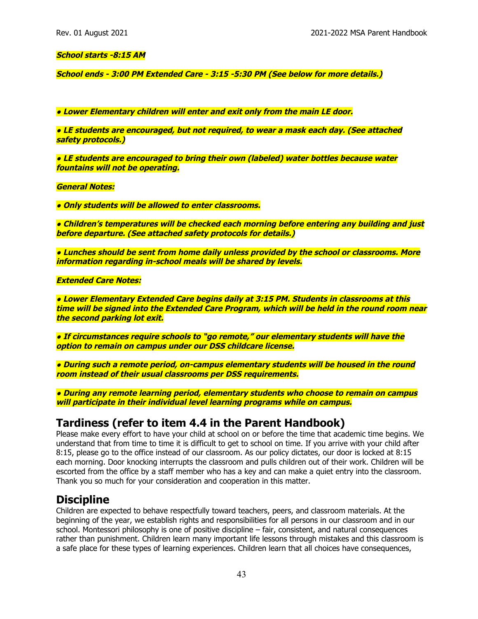#### **School starts -8:15 AM**

**School ends - 3:00 PM Extended Care - 3:15 -5:30 PM (See below for more details.)**

**● Lower Elementary children will enter and exit only from the main LE door.**

**● LE students are encouraged, but not required, to wear <sup>a</sup> mask each day. (See attached safety protocols.)**

**● LE students are encouraged to bring their own (labeled) water bottles because water fountains will not be operating.**

**General Notes:**

**● Only students will be allowed to enter classrooms.**

**● Children's temperatures will be checked each morning before entering any building and just before departure. (See attached safety protocols for details.)**

**● Lunches should be sent from home daily unless provided by the school or classrooms. More information regarding in-school meals will be shared by levels.**

**Extended Care Notes:**

**● Lower Elementary Extended Care begins daily at 3:15 PM. Students in classrooms at this time will be signed into the Extended Care Program, which will be held in the round room near the second parking lot exit.**

**● If circumstances require schools to "go remote," our elementary students will have the option to remain on campus under our DSS childcare license.**

**● During such <sup>a</sup> remote period, on-campus elementary students will be housed in the round room instead of their usual classrooms per DSS requirements.**

**● During any remote learning period, elementary students who choose to remain on campus will participate in their individual level learning programs while on campus.**

#### **Tardiness (refer to item 4.4 in the Parent Handbook)**

Please make every effort to have your child at school on or before the time that academic time begins. We understand that from time to time it is difficult to get to school on time. If you arrive with your child after 8:15, please go to the office instead of our classroom. As our policy dictates, our door is locked at 8:15 each morning. Door knocking interrupts the classroom and pulls children out of their work. Children will be escorted from the office by a staff member who has a key and can make a quiet entry into the classroom. Thank you so much for your consideration and cooperation in this matter.

#### **Discipline**

Children are expected to behave respectfully toward teachers, peers, and classroom materials. At the beginning of the year, we establish rights and responsibilities for all persons in our classroom and in our school. Montessori philosophy is one of positive discipline – fair, consistent, and natural consequences rather than punishment. Children learn many important life lessons through mistakes and this classroom is a safe place for these types of learning experiences. Children learn that all choices have consequences,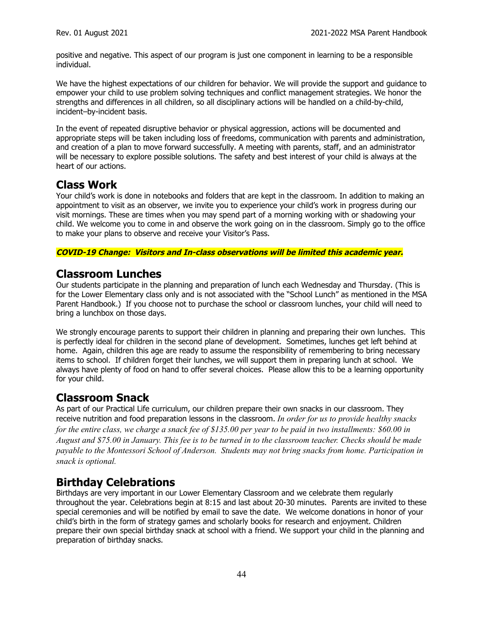positive and negative. This aspect of our program is just one component in learning to be a responsible individual.

We have the highest expectations of our children for behavior. We will provide the support and guidance to empower your child to use problem solving techniques and conflict management strategies. We honor the strengths and differences in all children, so all disciplinary actions will be handled on a child-by-child, incident–by-incident basis.

In the event of repeated disruptive behavior or physical aggression, actions will be documented and appropriate steps will be taken including loss of freedoms, communication with parents and administration, and creation of a plan to move forward successfully. A meeting with parents, staff, and an administrator will be necessary to explore possible solutions. The safety and best interest of your child is always at the heart of our actions.

#### **Class Work**

Your child's work is done in notebooks and folders that are kept in the classroom. In addition to making an appointment to visit as an observer, we invite you to experience your child's work in progress during our visit mornings. These are times when you may spend part of a morning working with or shadowing your child. We welcome you to come in and observe the work going on in the classroom. Simply go to the office to make your plans to observe and receive your Visitor's Pass.

#### **COVID-19 Change: Visitors and In-class observations will be limited this academic year.**

#### **Classroom Lunches**

Our students participate in the planning and preparation of lunch each Wednesday and Thursday. (This is for the Lower Elementary class only and is not associated with the "School Lunch" as mentioned in the MSA Parent Handbook.) If you choose not to purchase the school or classroom lunches, your child will need to bring a lunchbox on those days.

We strongly encourage parents to support their children in planning and preparing their own lunches. This is perfectly ideal for children in the second plane of development. Sometimes, lunches get left behind at home. Again, children this age are ready to assume the responsibility of remembering to bring necessary items to school. If children forget their lunches, we will support them in preparing lunch at school. We always have plenty of food on hand to offer several choices. Please allow this to be a learning opportunity for your child.

#### **Classroom Snack**

As part of our Practical Life curriculum, our children prepare their own snacks in our classroom. They receive nutrition and food preparation lessons in the classroom. *In order for us to provide healthy snacks* for the entire class, we charge a snack fee of \$135.00 per year to be paid in two installments:  $$60.00$  in August and \$75.00 in January. This fee is to be turned in to the classroom teacher. Checks should be made *payable to the Montessori School of Anderson. Students may not bring snacks from home. Participation in snack is optional.*

## **Birthday Celebrations**

Birthdays are very important in our Lower Elementary Classroom and we celebrate them regularly throughout the year. Celebrations begin at 8:15 and last about 20-30 minutes. Parents are invited to these special ceremonies and will be notified by email to save the date. We welcome donations in honor of your child's birth in the form of strategy games and scholarly books for research and enjoyment. Children prepare their own special birthday snack at school with a friend. We support your child in the planning and preparation of birthday snacks.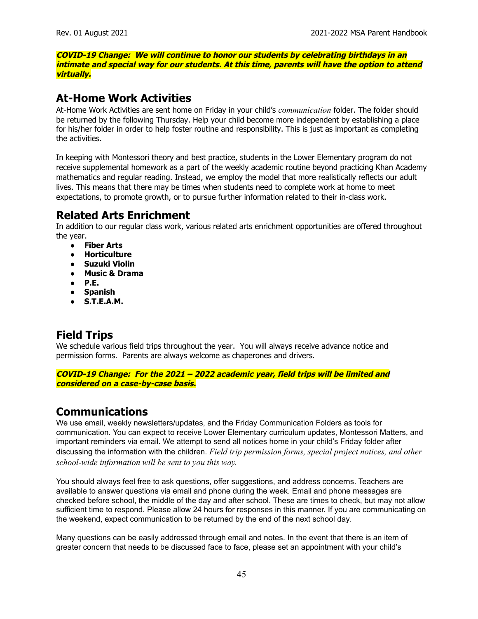**COVID-19 Change: We will continue to honor our students by celebrating birthdays in an intimate and special way for our students. At this time, parents will have the option to attend virtually.**

#### **At-Home Work Activities**

At-Home Work Activities are sent home on Friday in your child's *communication* folder. The folder should be returned by the following Thursday. Help your child become more independent by establishing a place for his/her folder in order to help foster routine and responsibility. This is just as important as completing the activities.

In keeping with Montessori theory and best practice, students in the Lower Elementary program do not receive supplemental homework as a part of the weekly academic routine beyond practicing Khan Academy mathematics and regular reading. Instead, we employ the model that more realistically reflects our adult lives. This means that there may be times when students need to complete work at home to meet expectations, to promote growth, or to pursue further information related to their in-class work.

## **Related Arts Enrichment**

In addition to our regular class work, various related arts enrichment opportunities are offered throughout the year.

- **Fiber Arts**
- **● Horticulture**
- **● Suzuki Violin**
- **● Music & Drama**
- **● P.E.**
- **Spanish**
- **● S.T.E.A.M.**

## **Field Trips**

We schedule various field trips throughout the year. You will always receive advance notice and permission forms. Parents are always welcome as chaperones and drivers.

**COVID-19 Change: For the 2021 – 2022 academic year, field trips will be limited and considered on <sup>a</sup> case-by-case basis.**

## **Communications**

We use email, weekly newsletters/updates, and the Friday Communication Folders as tools for communication. You can expect to receive Lower Elementary curriculum updates, Montessori Matters, and important reminders via email. We attempt to send all notices home in your child's Friday folder after discussing the information with the children. *Field trip permission forms, special project notices, and other school-wide information will be sent to you this way.*

You should always feel free to ask questions, offer suggestions, and address concerns. Teachers are available to answer questions via email and phone during the week. Email and phone messages are checked before school, the middle of the day and after school. These are times to check, but may not allow sufficient time to respond. Please allow 24 hours for responses in this manner. If you are communicating on the weekend, expect communication to be returned by the end of the next school day.

Many questions can be easily addressed through email and notes. In the event that there is an item of greater concern that needs to be discussed face to face, please set an appointment with your child's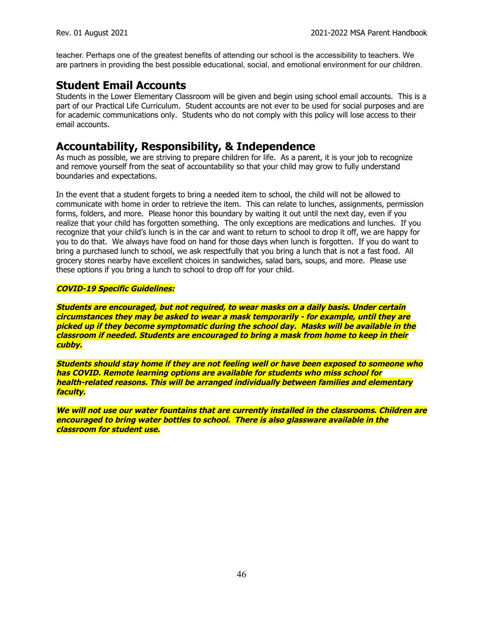teacher. Perhaps one of the greatest benefits of attending our school is the accessibility to teachers. We are partners in providing the best possible educational, social, and emotional environment for our children.

## **Student Email Accounts**

Students in the Lower Elementary Classroom will be given and begin using school email accounts. This is a part of our Practical Life Curriculum. Student accounts are not ever to be used for social purposes and are for academic communications only. Students who do not comply with this policy will lose access to their email accounts.

#### **Accountability, Responsibility, & Independence**

As much as possible, we are striving to prepare children for life. As a parent, it is your job to recognize and remove yourself from the seat of accountability so that your child may grow to fully understand boundaries and expectations.

In the event that a student forgets to bring a needed item to school, the child will not be allowed to communicate with home in order to retrieve the item. This can relate to lunches, assignments, permission forms, folders, and more. Please honor this boundary by waiting it out until the next day, even if you realize that your child has forgotten something. The only exceptions are medications and lunches. If you recognize that your child's lunch is in the car and want to return to school to drop it off, we are happy for you to do that. We always have food on hand for those days when lunch is forgotten. If you do want to bring a purchased lunch to school, we ask respectfully that you bring a lunch that is not a fast food. All grocery stores nearby have excellent choices in sandwiches, salad bars, soups, and more. Please use these options if you bring a lunch to school to drop off for your child.

#### **COVID-19 Specific Guidelines:**

**Students are encouraged, but not required, to wear masks on <sup>a</sup> daily basis. Under certain circumstances they may be asked to wear <sup>a</sup> mask temporarily - for example, until they are picked up if they become symptomatic during the school day. Masks will be available in the classroom if needed. Students are encouraged to bring <sup>a</sup> mask from home to keep in their cubby.**

**Students should stay home if they are not feeling well or have been exposed to someone who has COVID. Remote learning options are available for students who miss school for health-related reasons. This will be arranged individually between families and elementary faculty.**

**We will not use our water fountains that are currently installed in the classrooms. Children are encouraged to bring water bottles to school. There is also glassware available in the classroom for student use.**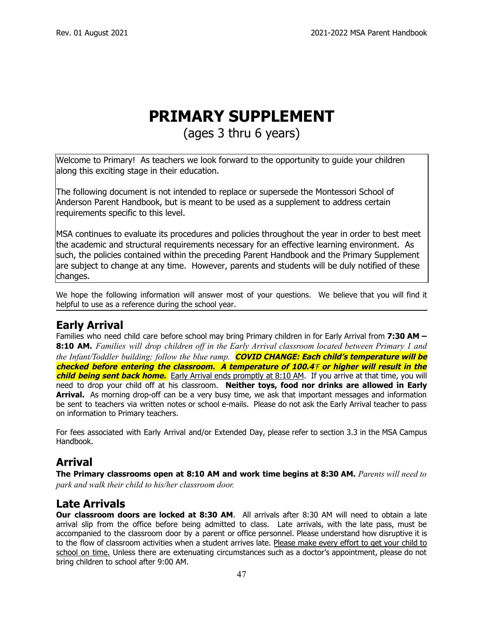# **PRIMARY SUPPLEMENT**

## (ages 3 thru 6 years)

Welcome to Primary! As teachers we look forward to the opportunity to guide your children along this exciting stage in their education.

The following document is not intended to replace or supersede the Montessori School of Anderson Parent Handbook, but is meant to be used as a supplement to address certain requirements specific to this level.

MSA continues to evaluate its procedures and policies throughout the year in order to best meet the academic and structural requirements necessary for an effective learning environment. As such, the policies contained within the preceding Parent Handbook and the Primary Supplement are subject to change at any time. However, parents and students will be duly notified of these changes.

We hope the following information will answer most of your questions. We believe that you will find it helpful to use as a reference during the school year.

## **Early Arrival**

Families who need child care before school may bring Primary children in for Early Arrival from **7:30 AM – 8:10 AM.** *Families will drop children of in the Early Arrival classroom located between Primary 1 and the Infant/Toddler building; follow the blue ramp.* **COVID CHANGE: Each child's temperature will be checked before entering the classroom. A temperature of 100.4**℉ **or higher will result in the child being sent back home.** Early Arrival ends promptly at 8:10 AM. If you arrive at that time, you will need to drop your child off at his classroom. **Neither toys, food nor drinks are allowed in Early Arrival.** As morning drop-off can be a very busy time, we ask that important messages and information be sent to teachers via written notes or school e-mails. Please do not ask the Early Arrival teacher to pass on information to Primary teachers.

For fees associated with Early Arrival and/or Extended Day, please refer to section 3.3 in the MSA Campus Handbook.

## **Arrival**

**The Primary classrooms open at 8:10 AM and work time begins at 8:30 AM.** *Parents will need to park and walk their child to his/her classroom door.*

## **Late Arrivals**

**Our classroom doors are locked at 8:30 AM**. All arrivals after 8:30 AM will need to obtain a late arrival slip from the office before being admitted to class. Late arrivals, with the late pass, must be accompanied to the classroom door by a parent or office personnel. Please understand how disruptive it is to the flow of classroom activities when a student arrives late. Please make every effort to get your child to school on time. Unless there are extenuating circumstances such as a doctor's appointment, please do not bring children to school after 9:00 AM.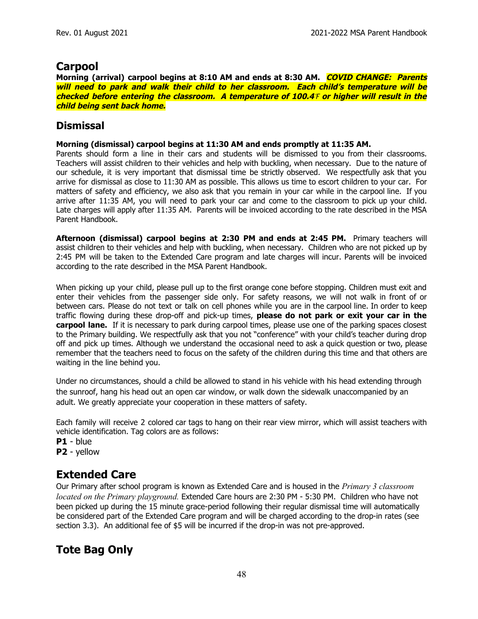## **Carpool**

**Morning (arrival) carpool begins at 8:10 AM and ends at 8:30 AM. COVID CHANGE: Parents will need to park and walk their child to her classroom. Each child's temperature will be checked before entering the classroom. A temperature of 100.4**℉ **or higher will result in the child being sent back home.**

#### **Dismissal**

#### **Morning (dismissal) carpool begins at 11:30 AM and ends promptly at 11:35 AM.**

Parents should form a line in their cars and students will be dismissed to you from their classrooms. Teachers will assist children to their vehicles and help with buckling, when necessary. Due to the nature of our schedule, it is very important that dismissal time be strictly observed. We respectfully ask that you arrive for dismissal as close to 11:30 AM as possible. This allows us time to escort children to your car. For matters of safety and efficiency, we also ask that you remain in your car while in the carpool line. If you arrive after 11:35 AM, you will need to park your car and come to the classroom to pick up your child. Late charges will apply after 11:35 AM. Parents will be invoiced according to the rate described in the MSA Parent Handbook.

**Afternoon (dismissal) carpool begins at 2:30 PM and ends at 2:45 PM.** Primary teachers will assist children to their vehicles and help with buckling, when necessary. Children who are not picked up by 2:45 PM will be taken to the Extended Care program and late charges will incur. Parents will be invoiced according to the rate described in the MSA Parent Handbook.

When picking up your child, please pull up to the first orange cone before stopping. Children must exit and enter their vehicles from the passenger side only. For safety reasons, we will not walk in front of or between cars. Please do not text or talk on cell phones while you are in the carpool line. In order to keep traffic flowing during these drop-off and pick-up times, **please do not park or exit your car in the carpool lane.** If it is necessary to park during carpool times, please use one of the parking spaces closest to the Primary building. We respectfully ask that you not "conference" with your child's teacher during drop off and pick up times. Although we understand the occasional need to ask a quick question or two, please remember that the teachers need to focus on the safety of the children during this time and that others are waiting in the line behind you.

Under no circumstances, should a child be allowed to stand in his vehicle with his head extending through the sunroof, hang his head out an open car window, or walk down the sidewalk unaccompanied by an adult. We greatly appreciate your cooperation in these matters of safety.

Each family will receive 2 colored car tags to hang on their rear view mirror, which will assist teachers with vehicle identification. Tag colors are as follows:

**P1** - blue

**P2** - yellow

## **Extended Care**

Our Primary after school program is known as Extended Care and is housed in the *Primary 3 classroom located on the Primary playground.* Extended Care hours are 2:30 PM - 5:30 PM. Children who have not been picked up during the 15 minute grace-period following their regular dismissal time will automatically be considered part of the Extended Care program and will be charged according to the drop-in rates (see section 3.3). An additional fee of \$5 will be incurred if the drop-in was not pre-approved.

## **Tote Bag Only**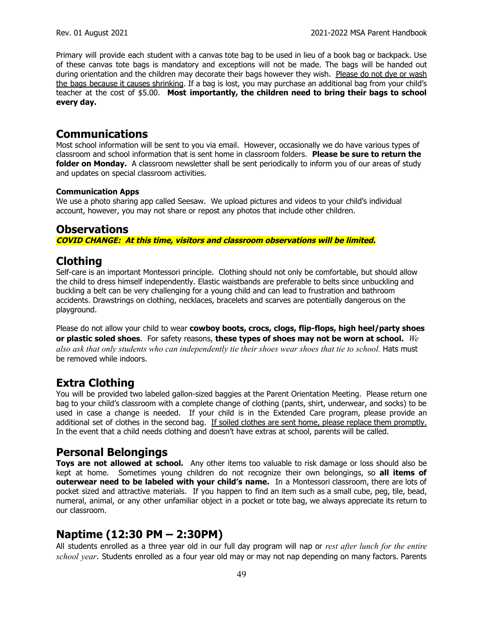Primary will provide each student with a canvas tote bag to be used in lieu of a book bag or backpack. Use of these canvas tote bags is mandatory and exceptions will not be made. The bags will be handed out during orientation and the children may decorate their bags however they wish. Please do not dye or wash the bags because it causes shrinking. If a bag is lost, you may purchase an additional bag from your child's teacher at the cost of \$5.00. **Most importantly, the children need to bring their bags to school every day.**

#### **Communications**

Most school information will be sent to you via email. However, occasionally we do have various types of classroom and school information that is sent home in classroom folders. **Please be sure to return the folder on Monday.** A classroom newsletter shall be sent periodically to inform you of our areas of study and updates on special classroom activities.

#### **Communication Apps**

We use a photo sharing app called Seesaw. We upload pictures and videos to your child's individual account, however, you may not share or repost any photos that include other children.

#### **Observations COVID CHANGE: At this time, visitors and classroom observations will be limited.**

## **Clothing**

Self-care is an important Montessori principle. Clothing should not only be comfortable, but should allow the child to dress himself independently. Elastic waistbands are preferable to belts since unbuckling and buckling a belt can be very challenging for a young child and can lead to frustration and bathroom accidents. Drawstrings on clothing, necklaces, bracelets and scarves are potentially dangerous on the playground.

Please do not allow your child to wear **cowboy boots, crocs, clogs, flip-flops, high heel/party shoes or plastic soled shoes**. For safety reasons, **these types of shoes may not be worn at school.** *We* also ask that only students who can independently tie their shoes wear shoes that tie to school. Hats must be removed while indoors.

## **Extra Clothing**

You will be provided two labeled gallon-sized baggies at the Parent Orientation Meeting. Please return one bag to your child's classroom with a complete change of clothing (pants, shirt, underwear, and socks) to be used in case a change is needed. If your child is in the Extended Care program, please provide an additional set of clothes in the second bag. If soiled clothes are sent home, please replace them promptly. In the event that a child needs clothing and doesn't have extras at school, parents will be called.

## **Personal Belongings**

**Toys are not allowed at school.** Any other items too valuable to risk damage or loss should also be kept at home. Sometimes young children do not recognize their own belongings, so **all items of outerwear need to be labeled with your child's name.** In a Montessori classroom, there are lots of pocket sized and attractive materials. If you happen to find an item such as a small cube, peg, tile, bead, numeral, animal, or any other unfamiliar object in a pocket or tote bag, we always appreciate its return to our classroom.

## **Naptime (12:30 PM – 2:30PM)**

All students enrolled as a three year old in our full day program will nap or *rest after lunch for the entire school year*. Students enrolled as a four year old may or may not nap depending on many factors. Parents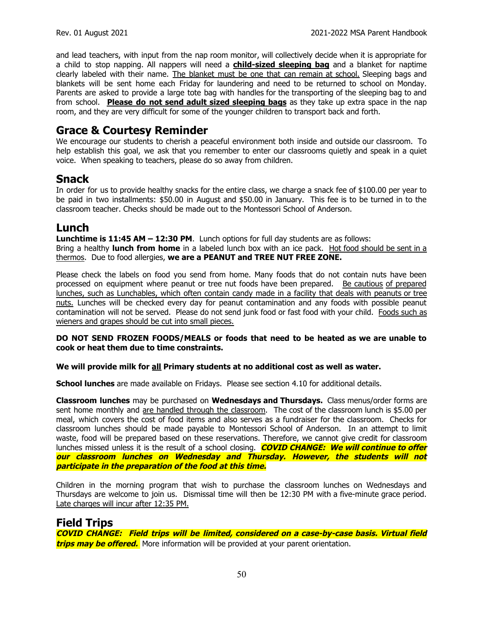and lead teachers, with input from the nap room monitor, will collectively decide when it is appropriate for a child to stop napping. All nappers will need a **child-sized sleeping bag** and a blanket for naptime clearly labeled with their name. The blanket must be one that can remain at school. Sleeping bags and blankets will be sent home each Friday for laundering and need to be returned to school on Monday. Parents are asked to provide a large tote bag with handles for the transporting of the sleeping bag to and from school. **Please do not send adult sized sleeping bags** as they take up extra space in the nap room, and they are very difficult for some of the younger children to transport back and forth.

#### **Grace & Courtesy Reminder**

We encourage our students to cherish a peaceful environment both inside and outside our classroom. To help establish this goal, we ask that you remember to enter our classrooms quietly and speak in a quiet voice. When speaking to teachers, please do so away from children.

#### **Snack**

In order for us to provide healthy snacks for the entire class, we charge a snack fee of \$100.00 per year to be paid in two installments: \$50.00 in August and \$50.00 in January. This fee is to be turned in to the classroom teacher. Checks should be made out to the Montessori School of Anderson.

#### **Lunch**

**Lunchtime is 11:45 AM – 12:30 PM**. Lunch options for full day students are as follows:

Bring a healthy **lunch from home** in a labeled lunch box with an ice pack. Hot food should be sent in a thermos. Due to food allergies, **we are a PEANUT and TREE NUT FREE ZONE.**

Please check the labels on food you send from home. Many foods that do not contain nuts have been processed on equipment where peanut or tree nut foods have been prepared. Be cautious of prepared lunches, such as Lunchables, which often contain candy made in a facility that deals with peanuts or tree nuts. Lunches will be checked every day for peanut contamination and any foods with possible peanut contamination will not be served. Please do not send junk food or fast food with your child. Foods such as wieners and grapes should be cut into small pieces.

#### **DO NOT SEND FROZEN FOODS/MEALS or foods that need to be heated as we are unable to cook or heat them due to time constraints.**

#### **We will provide milk for all Primary students at no additional cost as well as water.**

**School lunches** are made available on Fridays. Please see section 4.10 for additional details.

**Classroom lunches** may be purchased on **Wednesdays and Thursdays.** Class menus/order forms are sent home monthly and are handled through the classroom. The cost of the classroom lunch is \$5.00 per meal, which covers the cost of food items and also serves as a fundraiser for the classroom. Checks for classroom lunches should be made payable to Montessori School of Anderson. In an attempt to limit waste, food will be prepared based on these reservations. Therefore, we cannot give credit for classroom lunches missed unless it is the result of a school closing. **COVID CHANGE: We will continue to offer our classroom lunches on Wednesday and Thursday. However, the students will not participate in the preparation of the food at this time.**

Children in the morning program that wish to purchase the classroom lunches on Wednesdays and Thursdays are welcome to join us. Dismissal time will then be 12:30 PM with a five-minute grace period. Late charges will incur after 12:35 PM.

#### **Field Trips**

**COVID CHANGE: Field trips will be limited, considered on <sup>a</sup> case-by-case basis. Virtual field trips may be offered.** More information will be provided at your parent orientation.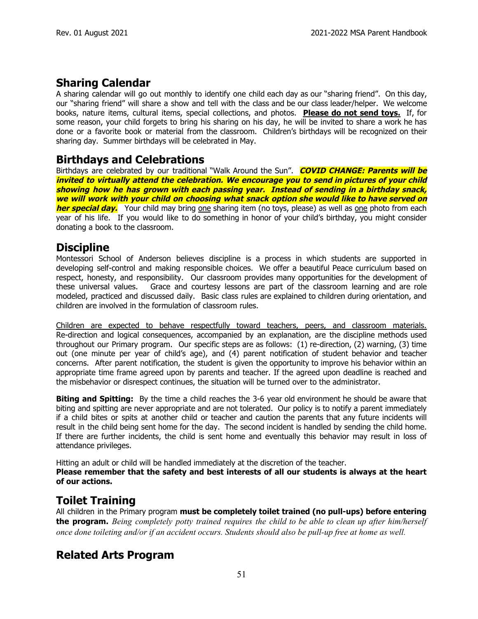## **Sharing Calendar**

A sharing calendar will go out monthly to identify one child each day as our "sharing friend". On this day, our "sharing friend" will share a show and tell with the class and be our class leader/helper. We welcome books, nature items, cultural items, special collections, and photos. **Please do not send toys.** If, for some reason, your child forgets to bring his sharing on his day, he will be invited to share a work he has done or a favorite book or material from the classroom. Children's birthdays will be recognized on their sharing day. Summer birthdays will be celebrated in May.

#### **Birthdays and Celebrations**

Birthdays are celebrated by our traditional "Walk Around the Sun". **COVID CHANGE: Parents will be invited to virtually attend the celebration. We encourage you to send in pictures of your child showing how he has grown with each passing year. Instead of sending in <sup>a</sup> birthday snack, we will work with your child on choosing what snack option she would like to have served on her special day.** Your child may bring one sharing item (no toys, please) as well as one photo from each year of his life. If you would like to do something in honor of your child's birthday, you might consider donating a book to the classroom.

#### **Discipline**

Montessori School of Anderson believes discipline is a process in which students are supported in developing self-control and making responsible choices. We offer a beautiful Peace curriculum based on respect, honesty, and responsibility. Our classroom provides many opportunities for the development of these universal values. Grace and courtesy lessons are part of the classroom learning and are role modeled, practiced and discussed daily. Basic class rules are explained to children during orientation, and children are involved in the formulation of classroom rules.

Children are expected to behave respectfully toward teachers, peers, and classroom materials. Re-direction and logical consequences, accompanied by an explanation, are the discipline methods used throughout our Primary program. Our specific steps are as follows: (1) re-direction, (2) warning, (3) time out (one minute per year of child's age), and (4) parent notification of student behavior and teacher concerns. After parent notification, the student is given the opportunity to improve his behavior within an appropriate time frame agreed upon by parents and teacher. If the agreed upon deadline is reached and the misbehavior or disrespect continues, the situation will be turned over to the administrator.

**Biting and Spitting:** By the time a child reaches the 3-6 year old environment he should be aware that biting and spitting are never appropriate and are not tolerated. Our policy is to notify a parent immediately if a child bites or spits at another child or teacher and caution the parents that any future incidents will result in the child being sent home for the day. The second incident is handled by sending the child home. If there are further incidents, the child is sent home and eventually this behavior may result in loss of attendance privileges.

Hitting an adult or child will be handled immediately at the discretion of the teacher. **Please remember that the safety and best interests of all our students is always at the heart of our actions.**

## **Toilet Training**

All children in the Primary program **must be completely toilet trained (no pull-ups) before entering the program.** *Being completely potty trained requires the child to be able to clean up after him/herself* once done toileting and/or if an accident occurs. Students should also be pull-up free at home as well.

## **Related Arts Program**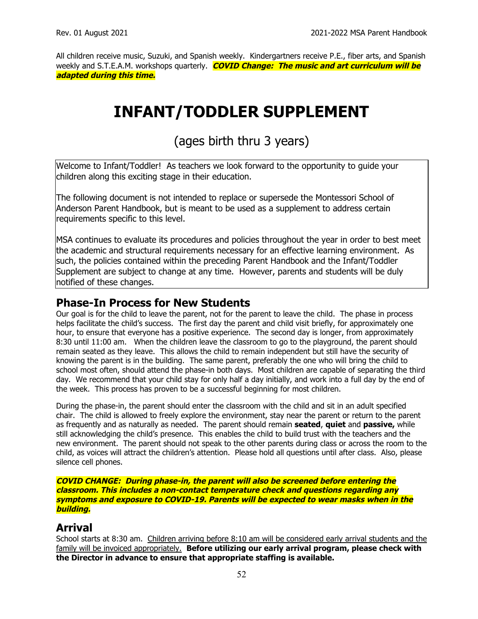All children receive music, Suzuki, and Spanish weekly. Kindergartners receive P.E., fiber arts, and Spanish weekly and S.T.E.A.M. workshops quarterly. **COVID Change: The music and art curriculum will be adapted during this time.**

## **INFANT/TODDLER SUPPLEMENT**

## (ages birth thru 3 years)

Welcome to Infant/Toddler! As teachers we look forward to the opportunity to guide your children along this exciting stage in their education.

The following document is not intended to replace or supersede the Montessori School of Anderson Parent Handbook, but is meant to be used as a supplement to address certain requirements specific to this level.

MSA continues to evaluate its procedures and policies throughout the year in order to best meet the academic and structural requirements necessary for an effective learning environment. As such, the policies contained within the preceding Parent Handbook and the Infant/Toddler Supplement are subject to change at any time. However, parents and students will be duly notified of these changes.

#### **Phase-In Process for New Students**

Our goal is for the child to leave the parent, not for the parent to leave the child. The phase in process helps facilitate the child's success. The first day the parent and child visit briefly, for approximately one hour, to ensure that everyone has a positive experience. The second day is longer, from approximately 8:30 until 11:00 am. When the children leave the classroom to go to the playground, the parent should remain seated as they leave. This allows the child to remain independent but still have the security of knowing the parent is in the building. The same parent, preferably the one who will bring the child to school most often, should attend the phase-in both days. Most children are capable of separating the third day. We recommend that your child stay for only half a day initially, and work into a full day by the end of the week. This process has proven to be a successful beginning for most children.

During the phase-in, the parent should enter the classroom with the child and sit in an adult specified chair. The child is allowed to freely explore the environment, stay near the parent or return to the parent as frequently and as naturally as needed. The parent should remain **seated**, **quiet** and **passive,** while still acknowledging the child's presence. This enables the child to build trust with the teachers and the new environment. The parent should not speak to the other parents during class or across the room to the child, as voices will attract the children's attention. Please hold all questions until after class. Also, please silence cell phones.

**COVID CHANGE: During phase-in, the parent will also be screened before entering the classroom. This includes <sup>a</sup> non-contact temperature check and questions regarding any symptoms and exposure to COVID-19. Parents will be expected to wear masks when in the building.**

#### **Arrival**

School starts at 8:30 am. Children arriving before 8:10 am will be considered early arrival students and the family will be invoiced appropriately. **Before utilizing our early arrival program, please check with the Director in advance to ensure that appropriate staffing is available.**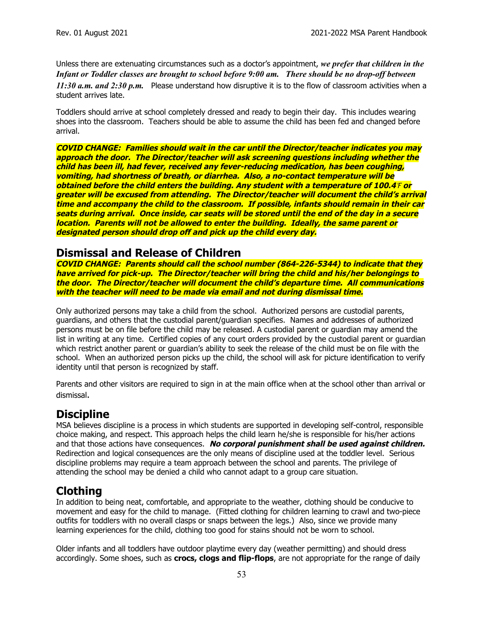Unless there are extenuating circumstances such as a doctor's appointment, *we prefer that children in the Infant or Toddler classes are brought to school before 9:00 am. There should be no drop-of between 11:30 a.m. and 2:30 p.m.* Please understand how disruptive it is to the flow of classroom activities when a student arrives late.

Toddlers should arrive at school completely dressed and ready to begin their day. This includes wearing shoes into the classroom. Teachers should be able to assume the child has been fed and changed before arrival.

**COVID CHANGE: Families should wait in the car until the Director/teacher indicates you may approach the door. The Director/teacher will ask screening questions including whether the child has been ill, had fever, received any fever-reducing medication, has been coughing, vomiting, had shortness of breath, or diarrhea. Also, <sup>a</sup> no-contact temperature will be obtained before the child enters the building. Any student with <sup>a</sup> temperature of 100.4**℉ **or greater will be excused from attending. The Director/teacher will document the child's arrival time and accompany the child to the classroom. If possible, infants should remain in their car** seats during arrival. Once inside, car seats will be stored until the end of the day in a secure **location. Parents will not be allowed to enter the building. Ideally, the same parent or designated person should drop off and pick up the child every day.**

#### **Dismissal and Release of Children**

**COVID CHANGE: Parents should call the school number (864-226-5344) to indicate that they have arrived for pick-up. The Director/teacher will bring the child and his/her belongings to the door. The Director/teacher will document the child's departure time. All communications with the teacher will need to be made via email and not during dismissal time.**

Only authorized persons may take a child from the school. Authorized persons are custodial parents, guardians, and others that the custodial parent/guardian specifies. Names and addresses of authorized persons must be on file before the child may be released. A custodial parent or guardian may amend the list in writing at any time. Certified copies of any court orders provided by the custodial parent or guardian which restrict another parent or guardian's ability to seek the release of the child must be on file with the school. When an authorized person picks up the child, the school will ask for picture identification to verify identity until that person is recognized by staff.

Parents and other visitors are required to sign in at the main office when at the school other than arrival or dismissal.

## **Discipline**

MSA believes discipline is a process in which students are supported in developing self-control, responsible choice making, and respect. This approach helps the child learn he/she is responsible for his/her actions and that those actions have consequences. **No corporal punishment shall be used against children.** Redirection and logical consequences are the only means of discipline used at the toddler level. Serious discipline problems may require a team approach between the school and parents. The privilege of attending the school may be denied a child who cannot adapt to a group care situation.

## **Clothing**

In addition to being neat, comfortable, and appropriate to the weather, clothing should be conducive to movement and easy for the child to manage. (Fitted clothing for children learning to crawl and two-piece outfits for toddlers with no overall clasps or snaps between the legs.) Also, since we provide many learning experiences for the child, clothing too good for stains should not be worn to school.

Older infants and all toddlers have outdoor playtime every day (weather permitting) and should dress accordingly. Some shoes, such as **crocs, clogs and flip-flops**, are not appropriate for the range of daily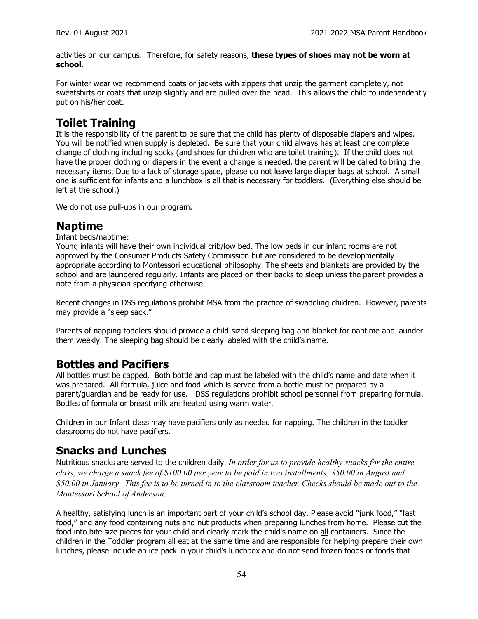activities on our campus. Therefore, for safety reasons, **these types of shoes may not be worn at school.**

For winter wear we recommend coats or jackets with zippers that unzip the garment completely, not sweatshirts or coats that unzip slightly and are pulled over the head. This allows the child to independently put on his/her coat.

## **Toilet Training**

It is the responsibility of the parent to be sure that the child has plenty of disposable diapers and wipes. You will be notified when supply is depleted. Be sure that your child always has at least one complete change of clothing including socks (and shoes for children who are toilet training). If the child does not have the proper clothing or diapers in the event a change is needed, the parent will be called to bring the necessary items. Due to a lack of storage space, please do not leave large diaper bags at school. A small one is sufficient for infants and a lunchbox is all that is necessary for toddlers. (Everything else should be left at the school.)

We do not use pull-ups in our program.

#### **Naptime**

#### Infant beds/naptime:

Young infants will have their own individual crib/low bed. The low beds in our infant rooms are not approved by the Consumer Products Safety Commission but are considered to be developmentally appropriate according to Montessori educational philosophy. The sheets and blankets are provided by the school and are laundered regularly. Infants are placed on their backs to sleep unless the parent provides a note from a physician specifying otherwise.

Recent changes in DSS regulations prohibit MSA from the practice of swaddling children. However, parents may provide a "sleep sack."

Parents of napping toddlers should provide a child-sized sleeping bag and blanket for naptime and launder them weekly. The sleeping bag should be clearly labeled with the child's name.

#### **Bottles and Pacifiers**

All bottles must be capped. Both bottle and cap must be labeled with the child's name and date when it was prepared. All formula, juice and food which is served from a bottle must be prepared by a parent/guardian and be ready for use. DSS regulations prohibit school personnel from preparing formula. Bottles of formula or breast milk are heated using warm water.

Children in our Infant class may have pacifiers only as needed for napping. The children in the toddler classrooms do not have pacifiers.

#### **Snacks and Lunches**

Nutritious snacks are served to the children daily. *In order for us to provide healthy snacks for the entire* class, we charge a snack fee of \$100.00 per year to be paid in two installments: \$50.00 in August and \$50.00 in January. This fee is to be turned in to the classroom teacher. Checks should be made out to the *Montessori School of Anderson.*

A healthy, satisfying lunch is an important part of your child's school day. Please avoid "junk food," "fast food," and any food containing nuts and nut products when preparing lunches from home. Please cut the food into bite size pieces for your child and clearly mark the child's name on all containers. Since the children in the Toddler program all eat at the same time and are responsible for helping prepare their own lunches, please include an ice pack in your child's lunchbox and do not send frozen foods or foods that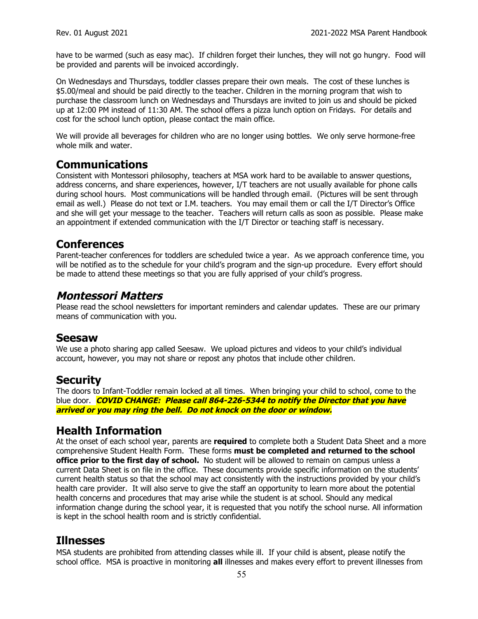have to be warmed (such as easy mac). If children forget their lunches, they will not go hungry. Food will be provided and parents will be invoiced accordingly.

On Wednesdays and Thursdays, toddler classes prepare their own meals. The cost of these lunches is \$5.00/meal and should be paid directly to the teacher. Children in the morning program that wish to purchase the classroom lunch on Wednesdays and Thursdays are invited to join us and should be picked up at 12:00 PM instead of 11:30 AM. The school offers a pizza lunch option on Fridays. For details and cost for the school lunch option, please contact the main office.

We will provide all beverages for children who are no longer using bottles. We only serve hormone-free whole milk and water.

#### **Communications**

Consistent with Montessori philosophy, teachers at MSA work hard to be available to answer questions, address concerns, and share experiences, however, I/T teachers are not usually available for phone calls during school hours. Most communications will be handled through email. (Pictures will be sent through email as well.) Please do not text or I.M. teachers. You may email them or call the I/T Director's Office and she will get your message to the teacher. Teachers will return calls as soon as possible. Please make an appointment if extended communication with the I/T Director or teaching staff is necessary.

#### **Conferences**

Parent-teacher conferences for toddlers are scheduled twice a year. As we approach conference time, you will be notified as to the schedule for your child's program and the sign-up procedure. Every effort should be made to attend these meetings so that you are fully apprised of your child's progress.

#### **Montessori Matters**

Please read the school newsletters for important reminders and calendar updates. These are our primary means of communication with you.

#### **Seesaw**

We use a photo sharing app called Seesaw. We upload pictures and videos to your child's individual account, however, you may not share or repost any photos that include other children.

#### **Security**

The doors to Infant-Toddler remain locked at all times. When bringing your child to school, come to the blue door. **COVID CHANGE: Please call 864-226-5344 to notify the Director that you have arrived or you may ring the bell. Do not knock on the door or window.**

#### **Health Information**

At the onset of each school year, parents are **required** to complete both a Student Data Sheet and a more comprehensive Student Health Form. These forms **must be completed and returned to the school office prior to the first day of school.** No student will be allowed to remain on campus unless a current Data Sheet is on file in the office. These documents provide specific information on the students' current health status so that the school may act consistently with the instructions provided by your child's health care provider. It will also serve to give the staff an opportunity to learn more about the potential health concerns and procedures that may arise while the student is at school. Should any medical information change during the school year, it is requested that you notify the school nurse. All information is kept in the school health room and is strictly confidential.

#### **Illnesses**

MSA students are prohibited from attending classes while ill. If your child is absent, please notify the school office. MSA is proactive in monitoring **all** illnesses and makes every effort to prevent illnesses from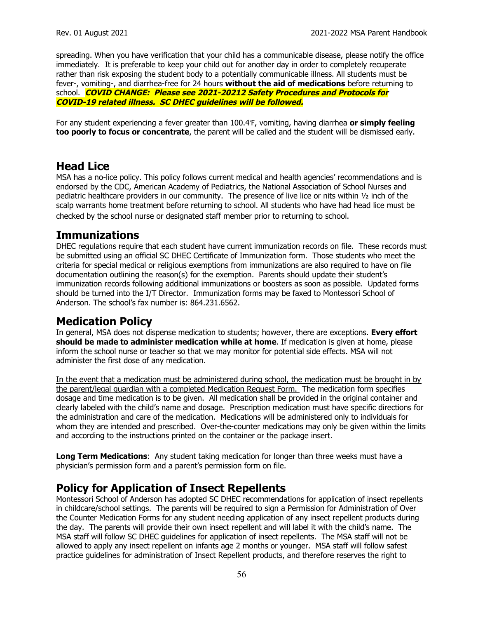spreading. When you have verification that your child has a communicable disease, please notify the office immediately. It is preferable to keep your child out for another day in order to completely recuperate rather than risk exposing the student body to a potentially communicable illness. All students must be fever-, vomiting-, and diarrhea-free for 24 hours **without the aid of medications** before returning to school. **COVID CHANGE: Please see 2021-20212 Safety Procedures and Protocols for COVID-19 related illness. SC DHEC guidelines will be followed.**

For any student experiencing a fever greater than 100.4℉, vomiting, having diarrhea **or simply feeling too poorly to focus or concentrate**, the parent will be called and the student will be dismissed early.

#### **Head Lice**

MSA has a no-lice policy. This policy follows current medical and health agencies' recommendations and is endorsed by the CDC, American Academy of Pediatrics, the National Association of School Nurses and pediatric healthcare providers in our community. The presence of live lice or nits within ½ inch of the scalp warrants home treatment before returning to school. All students who have had head lice must be checked by the school nurse or designated staff member prior to returning to school.

#### **Immunizations**

DHEC regulations require that each student have current immunization records on file. These records must be submitted using an official SC DHEC Certificate of Immunization form. Those students who meet the criteria for special medical or religious exemptions from immunizations are also required to have on file documentation outlining the reason(s) for the exemption. Parents should update their student's immunization records following additional immunizations or boosters as soon as possible. Updated forms should be turned into the I/T Director. Immunization forms may be faxed to Montessori School of Anderson. The school's fax number is: 864.231.6562.

#### **Medication Policy**

In general, MSA does not dispense medication to students; however, there are exceptions. **Every effort should be made to administer medication while at home**. If medication is given at home, please inform the school nurse or teacher so that we may monitor for potential side effects. MSA will not administer the first dose of any medication.

In the event that a medication must be administered during school, the medication must be brought in by the parent/legal guardian with a completed Medication Request Form. The medication form specifies dosage and time medication is to be given. All medication shall be provided in the original container and clearly labeled with the child's name and dosage. Prescription medication must have specific directions for the administration and care of the medication. Medications will be administered only to individuals for whom they are intended and prescribed. Over-the-counter medications may only be given within the limits and according to the instructions printed on the container or the package insert.

**Long Term Medications**: Any student taking medication for longer than three weeks must have a physician's permission form and a parent's permission form on file.

#### **Policy for Application of Insect Repellents**

Montessori School of Anderson has adopted SC DHEC recommendations for application of insect repellents in childcare/school settings. The parents will be required to sign a Permission for Administration of Over the Counter Medication Forms for any student needing application of any insect repellent products during the day. The parents will provide their own insect repellent and will label it with the child's name. The MSA staff will follow SC DHEC guidelines for application of insect repellents. The MSA staff will not be allowed to apply any insect repellent on infants age 2 months or younger. MSA staff will follow safest practice guidelines for administration of Insect Repellent products, and therefore reserves the right to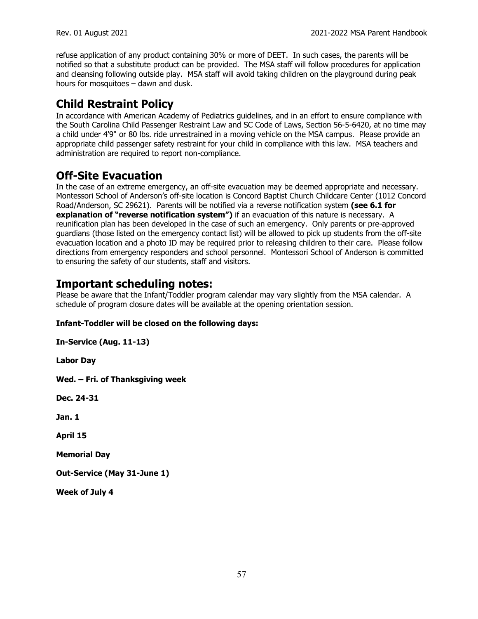refuse application of any product containing 30% or more of DEET. In such cases, the parents will be notified so that a substitute product can be provided. The MSA staff will follow procedures for application and cleansing following outside play. MSA staff will avoid taking children on the playground during peak hours for mosquitoes – dawn and dusk.

## **Child Restraint Policy**

In accordance with American Academy of Pediatrics guidelines, and in an effort to ensure compliance with the South Carolina Child Passenger Restraint Law and SC Code of Laws, Section 56-5-6420, at no time may a child under 4'9" or 80 lbs. ride unrestrained in a moving vehicle on the MSA campus. Please provide an appropriate child passenger safety restraint for your child in compliance with this law. MSA teachers and administration are required to report non-compliance.

## **Off-Site Evacuation**

In the case of an extreme emergency, an off-site evacuation may be deemed appropriate and necessary. Montessori School of Anderson's off-site location is Concord Baptist Church Childcare Center (1012 Concord Road/Anderson, SC 29621). Parents will be notified via a reverse notification system **(see 6.1 for explanation of "reverse notification system")** if an evacuation of this nature is necessary. A reunification plan has been developed in the case of such an emergency. Only parents or pre-approved guardians (those listed on the emergency contact list) will be allowed to pick up students from the off-site evacuation location and a photo ID may be required prior to releasing children to their care. Please follow directions from emergency responders and school personnel. Montessori School of Anderson is committed to ensuring the safety of our students, staff and visitors.

#### **Important scheduling notes:**

Please be aware that the Infant/Toddler program calendar may vary slightly from the MSA calendar. A schedule of program closure dates will be available at the opening orientation session.

#### **Infant-Toddler will be closed on the following days:**

**In-Service (Aug. 11-13)**

**Labor Day**

**Wed. – Fri. of Thanksgiving week**

**Dec. 24-31**

**Jan. 1**

**April 15**

**Memorial Day**

**Out-Service (May 31-June 1)**

**Week of July 4**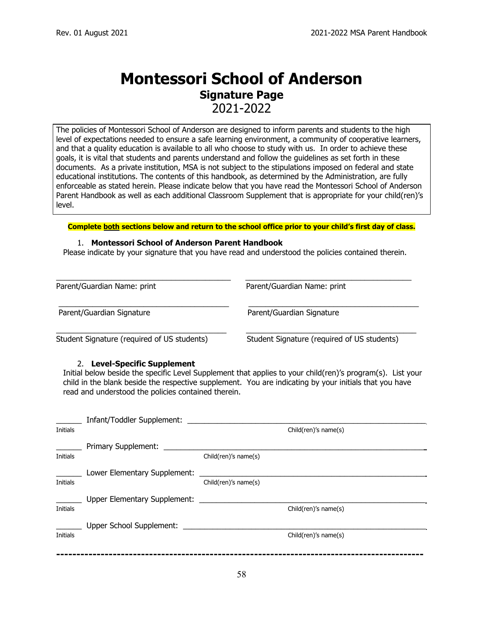## **Montessori School of Anderson Signature Page**

2021-2022

The policies of Montessori School of Anderson are designed to inform parents and students to the high level of expectations needed to ensure a safe learning environment, a community of cooperative learners, and that a quality education is available to all who choose to study with us. In order to achieve these goals, it is vital that students and parents understand and follow the guidelines as set forth in these documents. As a private institution, MSA is not subject to the stipulations imposed on federal and state educational institutions. The contents of this handbook, as determined by the Administration, are fully enforceable as stated herein. Please indicate below that you have read the Montessori School of Anderson Parent Handbook as well as each additional Classroom Supplement that is appropriate for your child(ren)'s level.

**Complete both sections below and return to the school office prior to your child's first day of class.**

#### 1. **Montessori School of Anderson Parent Handbook**

Please indicate by your signature that you have read and understood the policies contained therein.

| Parent/Guardian Name: print                 | Parent/Guardian Name: print                 |
|---------------------------------------------|---------------------------------------------|
| Parent/Guardian Signature                   | Parent/Guardian Signature                   |
| Student Signature (required of US students) | Student Signature (required of US students) |

#### 2. **Level-Specific Supplement**

Initial below beside the specific Level Supplement that applies to your child(ren)'s program(s). List your child in the blank beside the respective supplement. You are indicating by your initials that you have read and understood the policies contained therein.

|                 | Infant/Toddler Supplement:          |                      |                      |
|-----------------|-------------------------------------|----------------------|----------------------|
| Initials        |                                     |                      | Child(ren)'s name(s) |
|                 | Primary Supplement:                 |                      |                      |
| Initials        |                                     | Child(ren)'s name(s) |                      |
|                 | Lower Elementary Supplement:        |                      |                      |
| Initials        |                                     | Child(ren)'s name(s) |                      |
|                 | <b>Upper Elementary Supplement:</b> |                      |                      |
| <b>Initials</b> |                                     |                      | Child(ren)'s name(s) |
|                 | Upper School Supplement:            |                      |                      |
| Initials        |                                     |                      | Child(ren)'s name(s) |
|                 |                                     |                      |                      |
|                 |                                     |                      |                      |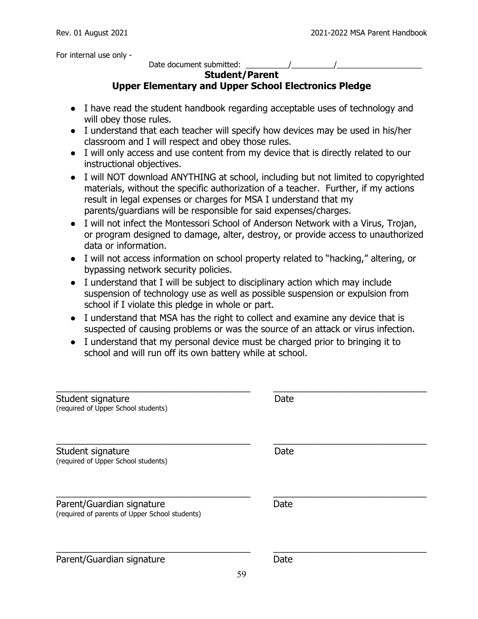For internal use only -

Date document submitted:  $\frac{1}{2}$  /

#### **Student/Parent**

#### **Upper Elementary and Upper School Electronics Pledge**

- I have read the student handbook regarding acceptable uses of technology and will obey those rules.
- I understand that each teacher will specify how devices may be used in his/her classroom and I will respect and obey those rules.
- I will only access and use content from my device that is directly related to our instructional objectives.
- I will NOT download ANYTHING at school, including but not limited to copyrighted materials, without the specific authorization of a teacher. Further, if my actions result in legal expenses or charges for MSA I understand that my parents/guardians will be responsible for said expenses/charges.
- I will not infect the Montessori School of Anderson Network with a Virus, Trojan, or program designed to damage, alter, destroy, or provide access to unauthorized data or information.
- I will not access information on school property related to "hacking," altering, or bypassing network security policies.
- I understand that I will be subject to disciplinary action which may include suspension of technology use as well as possible suspension or expulsion from school if I violate this pledge in whole or part.
- I understand that MSA has the right to collect and examine any device that is suspected of causing problems or was the source of an attack or virus infection.
- I understand that my personal device must be charged prior to bringing it to school and will run off its own battery while at school.

| Student signature<br>(required of Upper School students)                    | Date |
|-----------------------------------------------------------------------------|------|
| Student signature<br>(required of Upper School students)                    | Date |
| Parent/Guardian signature<br>(required of parents of Upper School students) | Date |
| Parent/Guardian signature                                                   | Date |